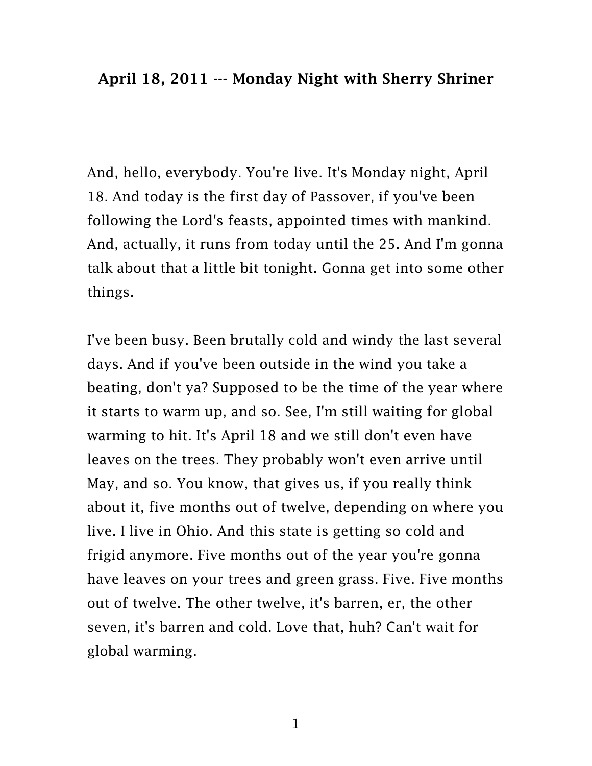And, hello, everybody. You're live. It's Monday night, April 18. And today is the first day of Passover, if you've been following the Lord's feasts, appointed times with mankind. And, actually, it runs from today until the 25. And I'm gonna talk about that a little bit tonight. Gonna get into some other things.

I've been busy. Been brutally cold and windy the last several days. And if you've been outside in the wind you take a beating, don't ya? Supposed to be the time of the year where it starts to warm up, and so. See, I'm still waiting for global warming to hit. It's April 18 and we still don't even have leaves on the trees. They probably won't even arrive until May, and so. You know, that gives us, if you really think about it, five months out of twelve, depending on where you live. I live in Ohio. And this state is getting so cold and frigid anymore. Five months out of the year you're gonna have leaves on your trees and green grass. Five. Five months out of twelve. The other twelve, it's barren, er, the other seven, it's barren and cold. Love that, huh? Can't wait for global warming.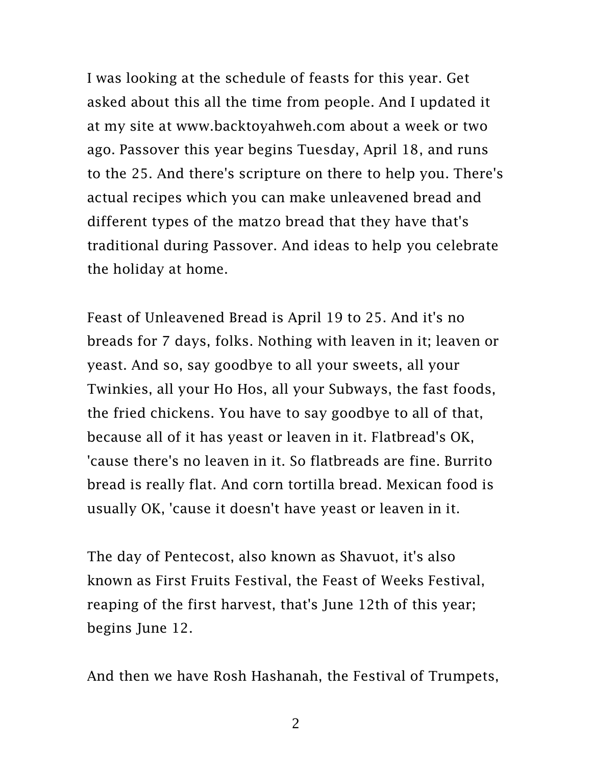I was looking at the schedule of feasts for this year. Get asked about this all the time from people. And I updated it at my site at [www.backtoyahweh.com](http://www.backtoyahweh.com/) about a week or two ago. Passover this year begins Tuesday, April 18, and runs to the 25. And there's scripture on there to help you. There's actual recipes which you can make unleavened bread and different types of the matzo bread that they have that's traditional during Passover. And ideas to help you celebrate the holiday at home.

Feast of Unleavened Bread is April 19 to 25. And it's no breads for 7 days, folks. Nothing with leaven in it; leaven or yeast. And so, say goodbye to all your sweets, all your Twinkies, all your Ho Hos, all your Subways, the fast foods, the fried chickens. You have to say goodbye to all of that, because all of it has yeast or leaven in it. Flatbread's OK, 'cause there's no leaven in it. So flatbreads are fine. Burrito bread is really flat. And corn tortilla bread. Mexican food is usually OK, 'cause it doesn't have yeast or leaven in it.

The day of Pentecost, also known as Shavuot, it's also known as First Fruits Festival, the Feast of Weeks Festival, reaping of the first harvest, that's June 12th of this year; begins June 12.

And then we have Rosh Hashanah, the Festival of Trumpets,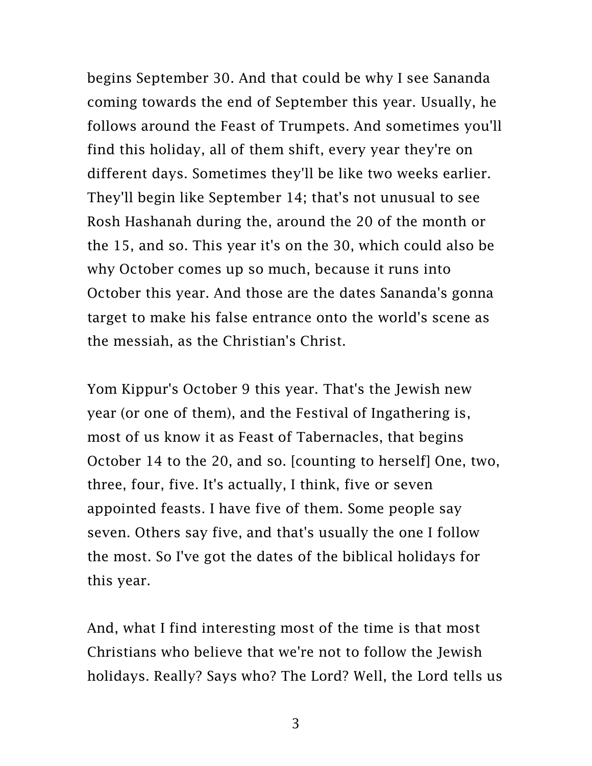begins September 30. And that could be why I see Sananda coming towards the end of September this year. Usually, he follows around the Feast of Trumpets. And sometimes you'll find this holiday, all of them shift, every year they're on different days. Sometimes they'll be like two weeks earlier. They'll begin like September 14; that's not unusual to see Rosh Hashanah during the, around the 20 of the month or the 15, and so. This year it's on the 30, which could also be why October comes up so much, because it runs into October this year. And those are the dates Sananda's gonna target to make his false entrance onto the world's scene as the messiah, as the Christian's Christ.

Yom Kippur's October 9 this year. That's the Jewish new year (or one of them), and the Festival of Ingathering is, most of us know it as Feast of Tabernacles, that begins October 14 to the 20, and so. [counting to herself] One, two, three, four, five. It's actually, I think, five or seven appointed feasts. I have five of them. Some people say seven. Others say five, and that's usually the one I follow the most. So I've got the dates of the biblical holidays for this year.

And, what I find interesting most of the time is that most Christians who believe that we're not to follow the Jewish holidays. Really? Says who? The Lord? Well, the Lord tells us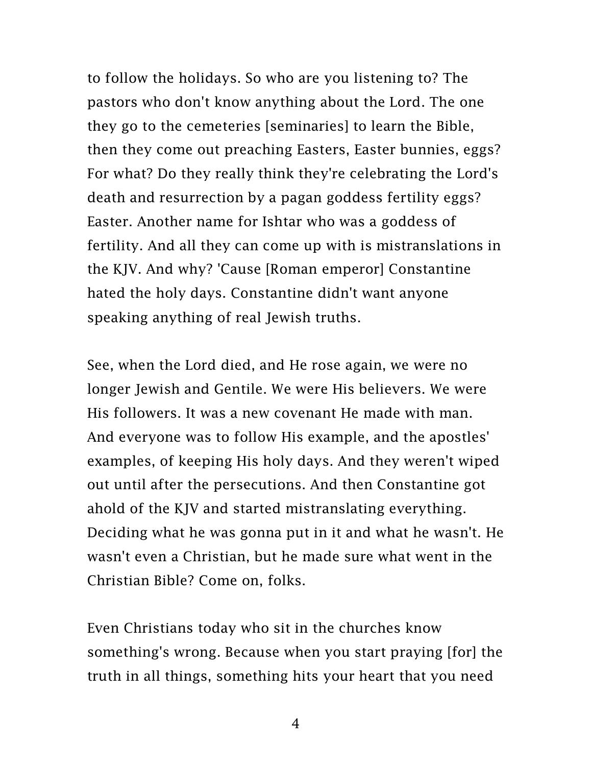to follow the holidays. So who are you listening to? The pastors who don't know anything about the Lord. The one they go to the cemeteries [seminaries] to learn the Bible, then they come out preaching Easters, Easter bunnies, eggs? For what? Do they really think they're celebrating the Lord's death and resurrection by a pagan goddess fertility eggs? Easter. Another name for Ishtar who was a goddess of fertility. And all they can come up with is mistranslations in the KJV. And why? 'Cause [Roman emperor] Constantine hated the holy days. Constantine didn't want anyone speaking anything of real Jewish truths.

See, when the Lord died, and He rose again, we were no longer Jewish and Gentile. We were His believers. We were His followers. It was a new covenant He made with man. And everyone was to follow His example, and the apostles' examples, of keeping His holy days. And they weren't wiped out until after the persecutions. And then Constantine got ahold of the KJV and started mistranslating everything. Deciding what he was gonna put in it and what he wasn't. He wasn't even a Christian, but he made sure what went in the Christian Bible? Come on, folks.

Even Christians today who sit in the churches know something's wrong. Because when you start praying [for] the truth in all things, something hits your heart that you need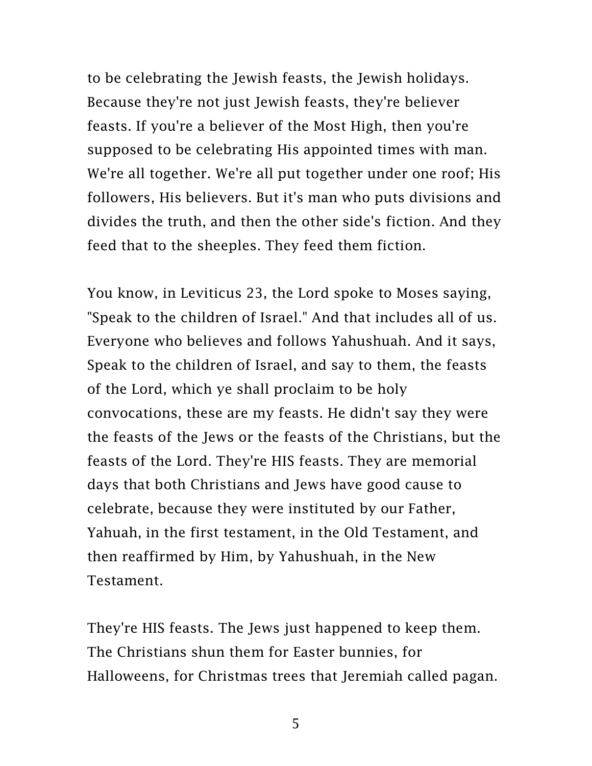to be celebrating the Jewish feasts, the Jewish holidays. Because they're not just Jewish feasts, they're believer feasts. If you're a believer of the Most High, then you're supposed to be celebrating His appointed times with man. We're all together. We're all put together under one roof; His followers, His believers. But it's man who puts divisions and divides the truth, and then the other side's fiction. And they feed that to the sheeples. They feed them fiction.

You know, in Leviticus 23, the Lord spoke to Moses saying, "Speak to the children of Israel." And that includes all of us. Everyone who believes and follows Yahushuah. And it says, Speak to the children of Israel, and say to them, the feasts of the Lord, which ye shall proclaim to be holy convocations, these are my feasts. He didn't say they were the feasts of the Jews or the feasts of the Christians, but the feasts of the Lord. They're HIS feasts. They are memorial days that both Christians and Jews have good cause to celebrate, because they were instituted by our Father, Yahuah, in the first testament, in the Old Testament, and then reaffirmed by Him, by Yahushuah, in the New Testament.

They're HIS feasts. The Jews just happened to keep them. The Christians shun them for Easter bunnies, for Halloweens, for Christmas trees that Jeremiah called pagan.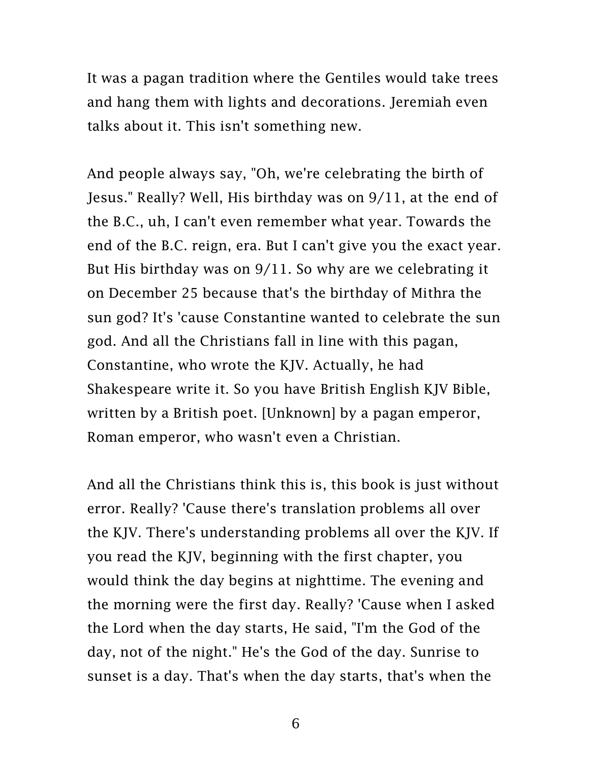It was a pagan tradition where the Gentiles would take trees and hang them with lights and decorations. Jeremiah even talks about it. This isn't something new.

And people always say, "Oh, we're celebrating the birth of Jesus." Really? Well, His birthday was on 9/11, at the end of the B.C., uh, I can't even remember what year. Towards the end of the B.C. reign, era. But I can't give you the exact year. But His birthday was on 9/11. So why are we celebrating it on December 25 because that's the birthday of Mithra the sun god? It's 'cause Constantine wanted to celebrate the sun god. And all the Christians fall in line with this pagan, Constantine, who wrote the KJV. Actually, he had Shakespeare write it. So you have British English KJV Bible, written by a British poet. [Unknown] by a pagan emperor, Roman emperor, who wasn't even a Christian.

And all the Christians think this is, this book is just without error. Really? 'Cause there's translation problems all over the KJV. There's understanding problems all over the KJV. If you read the KJV, beginning with the first chapter, you would think the day begins at nighttime. The evening and the morning were the first day. Really? 'Cause when I asked the Lord when the day starts, He said, "I'm the God of the day, not of the night." He's the God of the day. Sunrise to sunset is a day. That's when the day starts, that's when the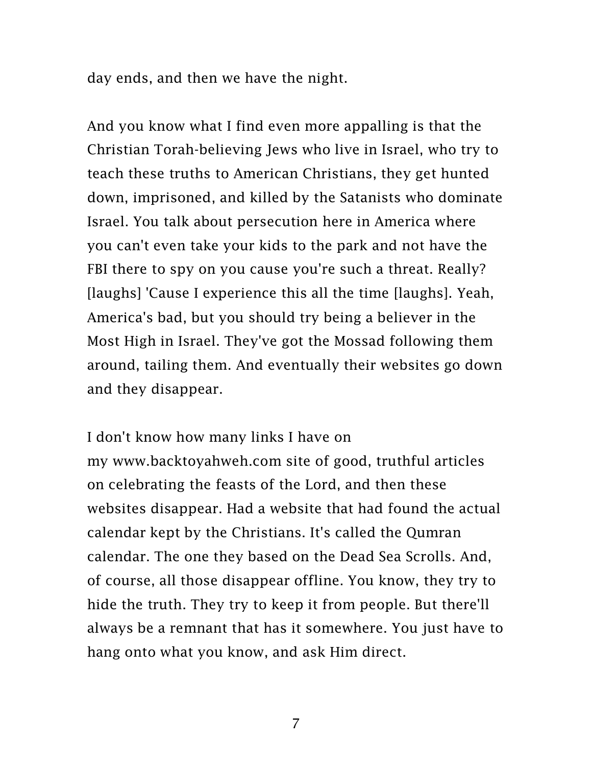day ends, and then we have the night.

And you know what I find even more appalling is that the Christian Torah-believing Jews who live in Israel, who try to teach these truths to American Christians, they get hunted down, imprisoned, and killed by the Satanists who dominate Israel. You talk about persecution here in America where you can't even take your kids to the park and not have the FBI there to spy on you cause you're such a threat. Really? [laughs] 'Cause I experience this all the time [laughs]. Yeah, America's bad, but you should try being a believer in the Most High in Israel. They've got the Mossad following them around, tailing them. And eventually their websites go down and they disappear.

I don't know how many links I have on my [www.backtoyahweh.com](http://www.backtoyahweh.com/) site of good, truthful articles on celebrating the feasts of the Lord, and then these websites disappear. Had a website that had found the actual calendar kept by the Christians. It's called the Qumran calendar. The one they based on the Dead Sea Scrolls. And, of course, all those disappear offline. You know, they try to hide the truth. They try to keep it from people. But there'll always be a remnant that has it somewhere. You just have to hang onto what you know, and ask Him direct.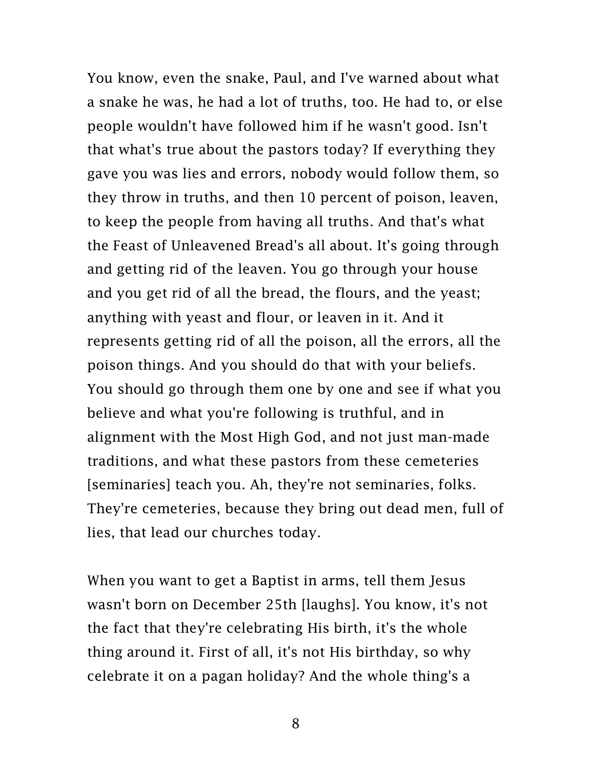You know, even the snake, Paul, and I've warned about what a snake he was, he had a lot of truths, too. He had to, or else people wouldn't have followed him if he wasn't good. Isn't that what's true about the pastors today? If everything they gave you was lies and errors, nobody would follow them, so they throw in truths, and then 10 percent of poison, leaven, to keep the people from having all truths. And that's what the Feast of Unleavened Bread's all about. It's going through and getting rid of the leaven. You go through your house and you get rid of all the bread, the flours, and the yeast; anything with yeast and flour, or leaven in it. And it represents getting rid of all the poison, all the errors, all the poison things. And you should do that with your beliefs. You should go through them one by one and see if what you believe and what you're following is truthful, and in alignment with the Most High God, and not just man-made traditions, and what these pastors from these cemeteries [seminaries] teach you. Ah, they're not seminaries, folks. They're cemeteries, because they bring out dead men, full of lies, that lead our churches today.

When you want to get a Baptist in arms, tell them Jesus wasn't born on December 25th [laughs]. You know, it's not the fact that they're celebrating His birth, it's the whole thing around it. First of all, it's not His birthday, so why celebrate it on a pagan holiday? And the whole thing's a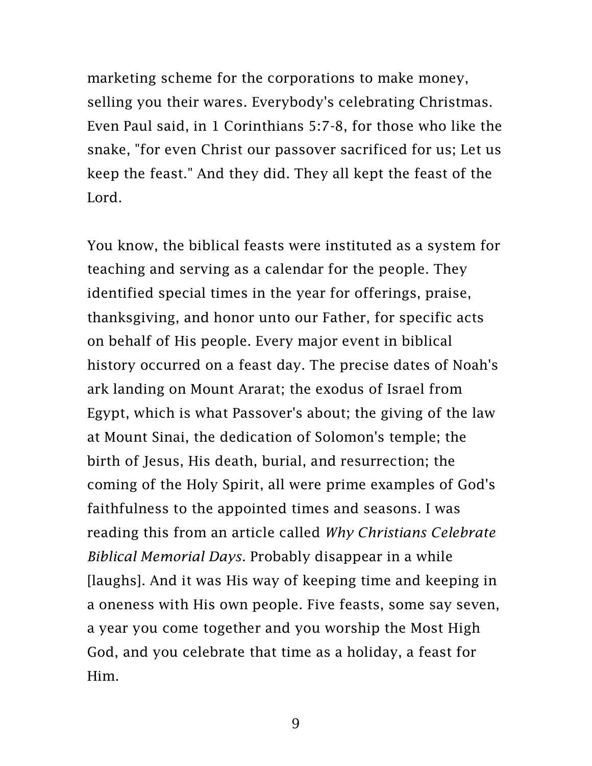marketing scheme for the corporations to make money, selling you their wares. Everybody's celebrating Christmas. Even Paul said, in 1 Corinthians 5:7-8, for those who like the snake, "for even Christ our passover sacrificed for us; Let us keep the feast." And they did. They all kept the feast of the Lord.

You know, the biblical feasts were instituted as a system for teaching and serving as a calendar for the people. They identified special times in the year for offerings, praise, thanksgiving, and honor unto our Father, for specific acts on behalf of His people. Every major event in biblical history occurred on a feast day. The precise dates of Noah's ark landing on Mount Ararat; the exodus of Israel from Egypt, which is what Passover's about; the giving of the law at Mount Sinai, the dedication of Solomon's temple; the birth of Jesus, His death, burial, and resurrection; the coming of the Holy Spirit, all were prime examples of God's faithfulness to the appointed times and seasons. I was reading this from an article called *Why Christians Celebrate Biblical Memorial Days*. Probably disappear in a while [laughs]. And it was His way of keeping time and keeping in a oneness with His own people. Five feasts, some say seven, a year you come together and you worship the Most High God, and you celebrate that time as a holiday, a feast for Him.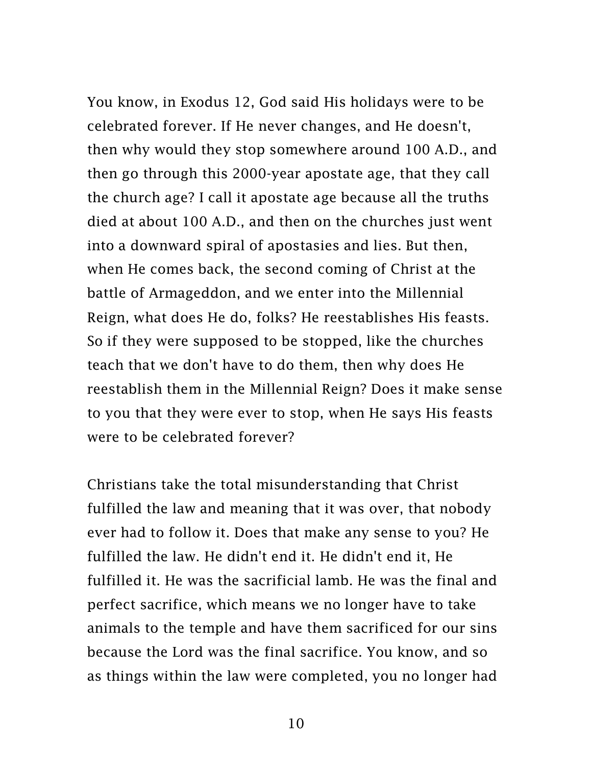You know, in Exodus 12, God said His holidays were to be celebrated forever. If He never changes, and He doesn't, then why would they stop somewhere around 100 A.D., and then go through this 2000-year apostate age, that they call the church age? I call it apostate age because all the truths died at about 100 A.D., and then on the churches just went into a downward spiral of apostasies and lies. But then, when He comes back, the second coming of Christ at the battle of Armageddon, and we enter into the Millennial Reign, what does He do, folks? He reestablishes His feasts. So if they were supposed to be stopped, like the churches teach that we don't have to do them, then why does He reestablish them in the Millennial Reign? Does it make sense to you that they were ever to stop, when He says His feasts were to be celebrated forever?

Christians take the total misunderstanding that Christ fulfilled the law and meaning that it was over, that nobody ever had to follow it. Does that make any sense to you? He fulfilled the law. He didn't end it. He didn't end it, He fulfilled it. He was the sacrificial lamb. He was the final and perfect sacrifice, which means we no longer have to take animals to the temple and have them sacrificed for our sins because the Lord was the final sacrifice. You know, and so as things within the law were completed, you no longer had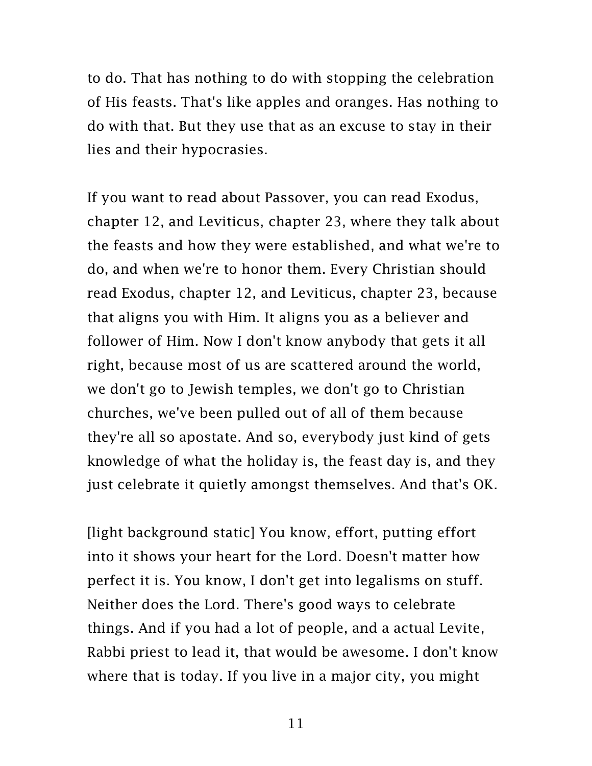to do. That has nothing to do with stopping the celebration of His feasts. That's like apples and oranges. Has nothing to do with that. But they use that as an excuse to stay in their lies and their hypocrasies.

If you want to read about Passover, you can read Exodus, chapter 12, and Leviticus, chapter 23, where they talk about the feasts and how they were established, and what we're to do, and when we're to honor them. Every Christian should read Exodus, chapter 12, and Leviticus, chapter 23, because that aligns you with Him. It aligns you as a believer and follower of Him. Now I don't know anybody that gets it all right, because most of us are scattered around the world, we don't go to Jewish temples, we don't go to Christian churches, we've been pulled out of all of them because they're all so apostate. And so, everybody just kind of gets knowledge of what the holiday is, the feast day is, and they just celebrate it quietly amongst themselves. And that's OK.

[light background static] You know, effort, putting effort into it shows your heart for the Lord. Doesn't matter how perfect it is. You know, I don't get into legalisms on stuff. Neither does the Lord. There's good ways to celebrate things. And if you had a lot of people, and a actual Levite, Rabbi priest to lead it, that would be awesome. I don't know where that is today. If you live in a major city, you might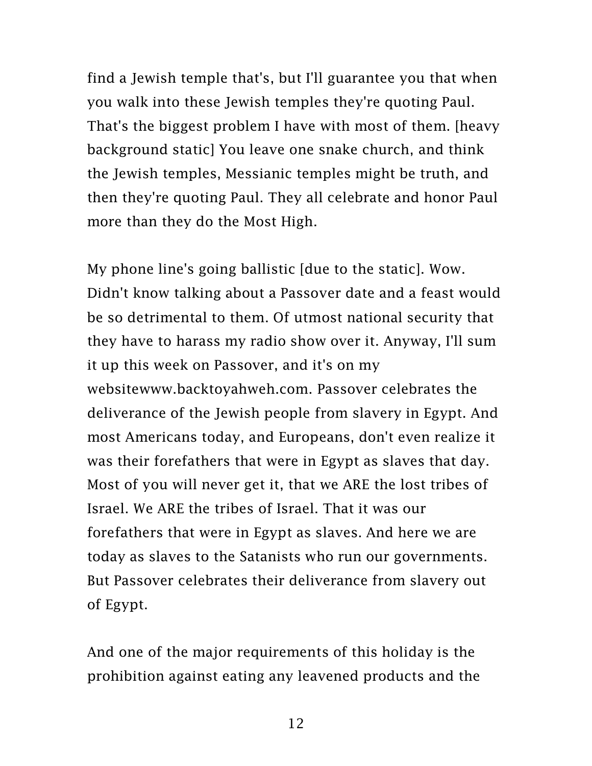find a Jewish temple that's, but I'll guarantee you that when you walk into these Jewish temples they're quoting Paul. That's the biggest problem I have with most of them. [heavy background static] You leave one snake church, and think the Jewish temples, Messianic temples might be truth, and then they're quoting Paul. They all celebrate and honor Paul more than they do the Most High.

My phone line's going ballistic [due to the static]. Wow. Didn't know talking about a Passover date and a feast would be so detrimental to them. Of utmost national security that they have to harass my radio show over it. Anyway, I'll sum it up this week on Passover, and it's on my websit[ewww.backtoyahweh.com.](http://www.backtoyahweh.com/) Passover celebrates the deliverance of the Jewish people from slavery in Egypt. And most Americans today, and Europeans, don't even realize it was their forefathers that were in Egypt as slaves that day. Most of you will never get it, that we ARE the lost tribes of Israel. We ARE the tribes of Israel. That it was our forefathers that were in Egypt as slaves. And here we are today as slaves to the Satanists who run our governments. But Passover celebrates their deliverance from slavery out of Egypt.

And one of the major requirements of this holiday is the prohibition against eating any leavened products and the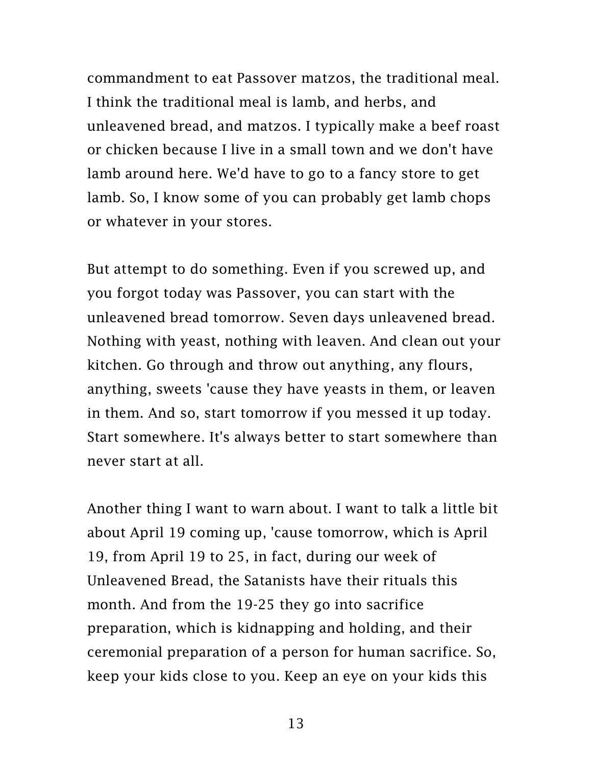commandment to eat Passover matzos, the traditional meal. I think the traditional meal is lamb, and herbs, and unleavened bread, and matzos. I typically make a beef roast or chicken because I live in a small town and we don't have lamb around here. We'd have to go to a fancy store to get lamb. So, I know some of you can probably get lamb chops or whatever in your stores.

But attempt to do something. Even if you screwed up, and you forgot today was Passover, you can start with the unleavened bread tomorrow. Seven days unleavened bread. Nothing with yeast, nothing with leaven. And clean out your kitchen. Go through and throw out anything, any flours, anything, sweets 'cause they have yeasts in them, or leaven in them. And so, start tomorrow if you messed it up today. Start somewhere. It's always better to start somewhere than never start at all.

Another thing I want to warn about. I want to talk a little bit about April 19 coming up, 'cause tomorrow, which is April 19, from April 19 to 25, in fact, during our week of Unleavened Bread, the Satanists have their rituals this month. And from the 19-25 they go into sacrifice preparation, which is kidnapping and holding, and their ceremonial preparation of a person for human sacrifice. So, keep your kids close to you. Keep an eye on your kids this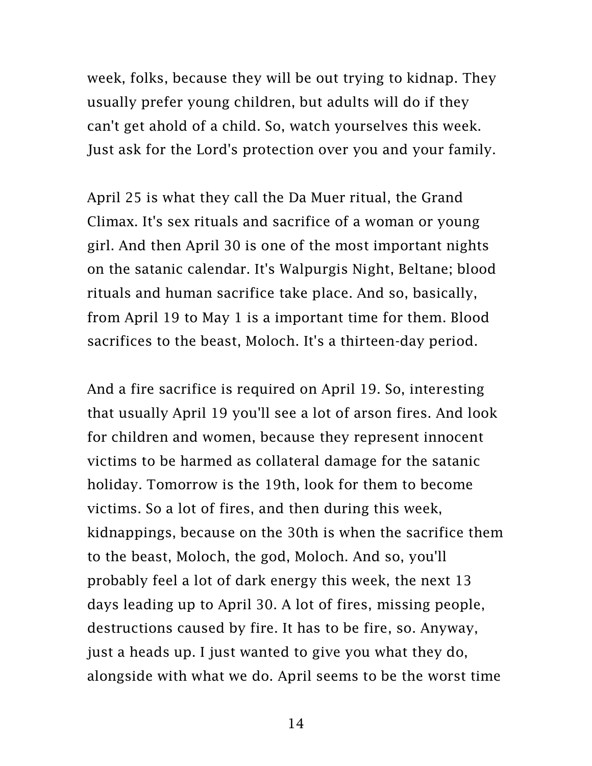week, folks, because they will be out trying to kidnap. They usually prefer young children, but adults will do if they can't get ahold of a child. So, watch yourselves this week. Just ask for the Lord's protection over you and your family.

April 25 is what they call the Da Muer ritual, the Grand Climax. It's sex rituals and sacrifice of a woman or young girl. And then April 30 is one of the most important nights on the satanic calendar. It's Walpurgis Night, Beltane; blood rituals and human sacrifice take place. And so, basically, from April 19 to May 1 is a important time for them. Blood sacrifices to the beast, Moloch. It's a thirteen-day period.

And a fire sacrifice is required on April 19. So, interesting that usually April 19 you'll see a lot of arson fires. And look for children and women, because they represent innocent victims to be harmed as collateral damage for the satanic holiday. Tomorrow is the 19th, look for them to become victims. So a lot of fires, and then during this week, kidnappings, because on the 30th is when the sacrifice them to the beast, Moloch, the god, Moloch. And so, you'll probably feel a lot of dark energy this week, the next 13 days leading up to April 30. A lot of fires, missing people, destructions caused by fire. It has to be fire, so. Anyway, just a heads up. I just wanted to give you what they do, alongside with what we do. April seems to be the worst time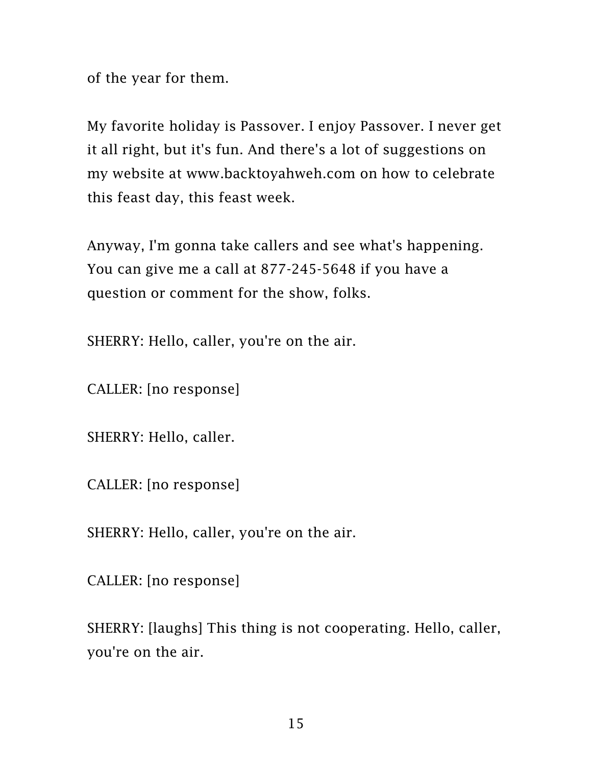of the year for them.

My favorite holiday is Passover. I enjoy Passover. I never get it all right, but it's fun. And there's a lot of suggestions on my website at [www.backtoyahweh.com](http://www.backtoyahweh.com/) on how to celebrate this feast day, this feast week.

Anyway, I'm gonna take callers and see what's happening. You can give me a call at 877-245-5648 if you have a question or comment for the show, folks.

SHERRY: Hello, caller, you're on the air.

CALLER: [no response]

SHERRY: Hello, caller.

CALLER: [no response]

SHERRY: Hello, caller, you're on the air.

CALLER: [no response]

SHERRY: [laughs] This thing is not cooperating. Hello, caller, you're on the air.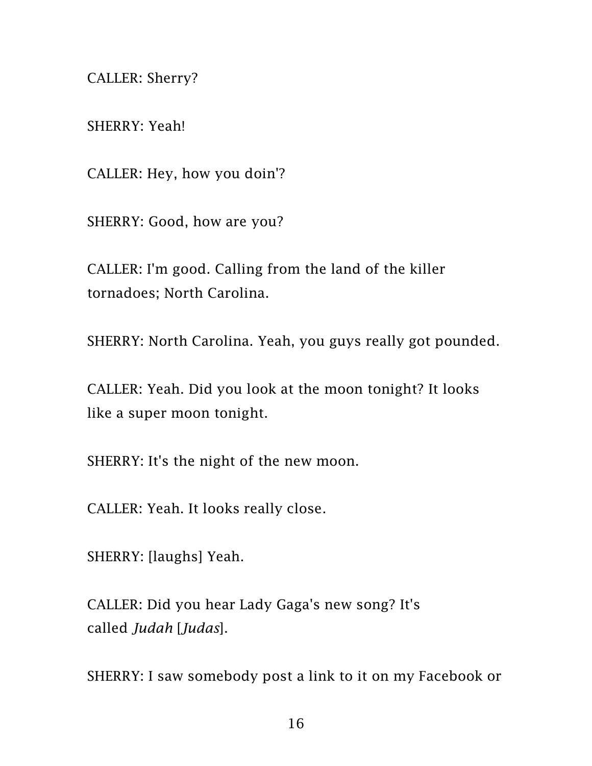CALLER: Sherry?

SHERRY: Yeah!

CALLER: Hey, how you doin'?

SHERRY: Good, how are you?

CALLER: I'm good. Calling from the land of the killer tornadoes; North Carolina.

SHERRY: North Carolina. Yeah, you guys really got pounded.

CALLER: Yeah. Did you look at the moon tonight? It looks like a super moon tonight.

SHERRY: It's the night of the new moon.

CALLER: Yeah. It looks really close.

SHERRY: [laughs] Yeah.

CALLER: Did you hear Lady Gaga's new song? It's called *Judah* [*Judas*].

SHERRY: I saw somebody post a link to it on my Facebook or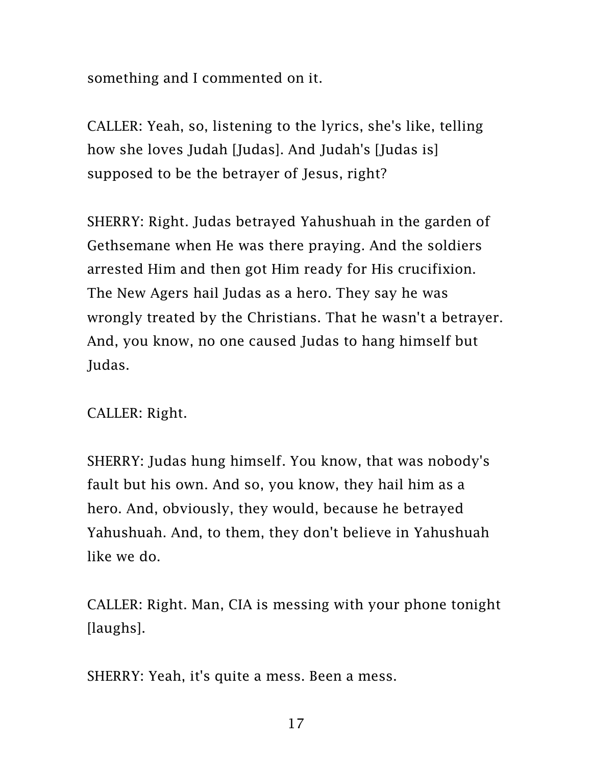something and I commented on it.

CALLER: Yeah, so, listening to the lyrics, she's like, telling how she loves Judah [Judas]. And Judah's [Judas is] supposed to be the betrayer of Jesus, right?

SHERRY: Right. Judas betrayed Yahushuah in the garden of Gethsemane when He was there praying. And the soldiers arrested Him and then got Him ready for His crucifixion. The New Agers hail Judas as a hero. They say he was wrongly treated by the Christians. That he wasn't a betrayer. And, you know, no one caused Judas to hang himself but Judas.

CALLER: Right.

SHERRY: Judas hung himself. You know, that was nobody's fault but his own. And so, you know, they hail him as a hero. And, obviously, they would, because he betrayed Yahushuah. And, to them, they don't believe in Yahushuah like we do.

CALLER: Right. Man, CIA is messing with your phone tonight [laughs].

SHERRY: Yeah, it's quite a mess. Been a mess.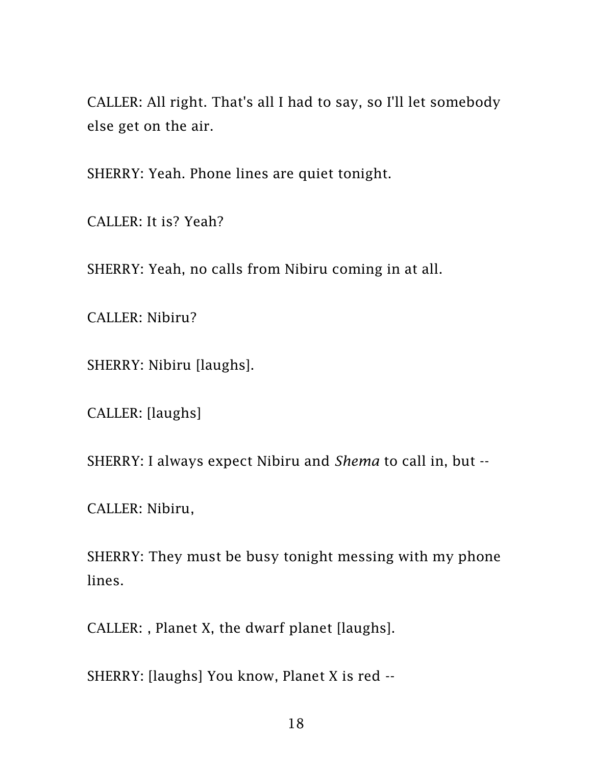CALLER: All right. That's all I had to say, so I'll let somebody else get on the air.

SHERRY: Yeah. Phone lines are quiet tonight.

CALLER: It is? Yeah?

SHERRY: Yeah, no calls from Nibiru coming in at all.

CALLER: Nibiru?

SHERRY: Nibiru [laughs].

CALLER: [laughs]

SHERRY: I always expect Nibiru and *Shema* to call in, but --

CALLER: Nibiru,

SHERRY: They must be busy tonight messing with my phone lines.

CALLER: , Planet X, the dwarf planet [laughs].

SHERRY: [laughs] You know, Planet X is red --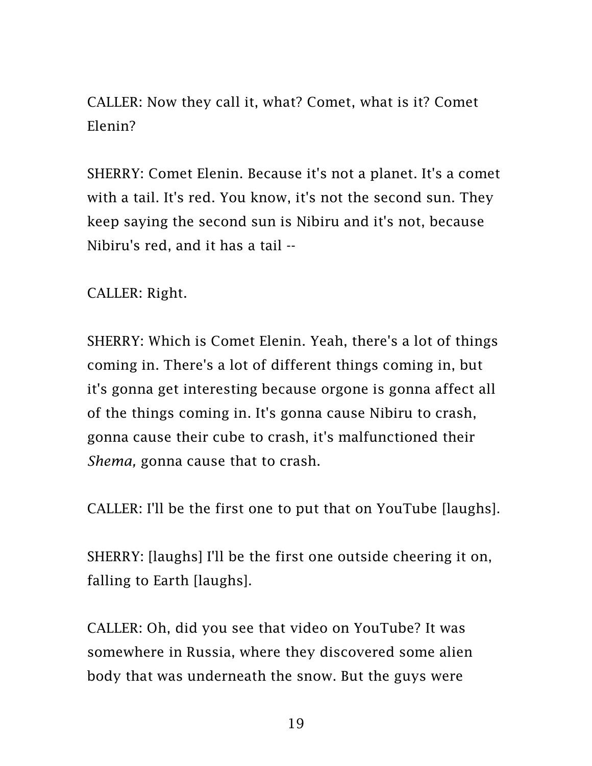CALLER: Now they call it, what? Comet, what is it? Comet Elenin?

SHERRY: Comet Elenin. Because it's not a planet. It's a comet with a tail. It's red. You know, it's not the second sun. They keep saying the second sun is Nibiru and it's not, because Nibiru's red, and it has a tail --

CALLER: Right.

SHERRY: Which is Comet Elenin. Yeah, there's a lot of things coming in. There's a lot of different things coming in, but it's gonna get interesting because orgone is gonna affect all of the things coming in. It's gonna cause Nibiru to crash, gonna cause their cube to crash, it's malfunctioned their *Shema,* gonna cause that to crash.

CALLER: I'll be the first one to put that on YouTube [laughs].

SHERRY: [laughs] I'll be the first one outside cheering it on, falling to Earth [laughs].

CALLER: Oh, did you see that video on YouTube? It was somewhere in Russia, where they discovered some alien body that was underneath the snow. But the guys were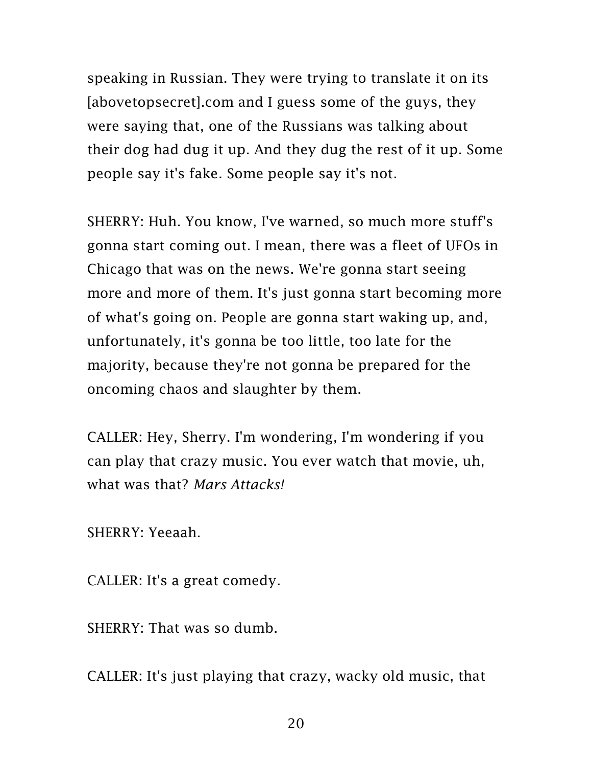speaking in Russian. They were trying to translate it on its [abovetopsecret].com and I guess some of the guys, they were saying that, one of the Russians was talking about their dog had dug it up. And they dug the rest of it up. Some people say it's fake. Some people say it's not.

SHERRY: Huh. You know, I've warned, so much more stuff's gonna start coming out. I mean, there was a fleet of UFOs in Chicago that was on the news. We're gonna start seeing more and more of them. It's just gonna start becoming more of what's going on. People are gonna start waking up, and, unfortunately, it's gonna be too little, too late for the majority, because they're not gonna be prepared for the oncoming chaos and slaughter by them.

CALLER: Hey, Sherry. I'm wondering, I'm wondering if you can play that crazy music. You ever watch that movie, uh, what was that? *Mars Attacks!*

SHERRY: Yeeaah.

CALLER: It's a great comedy.

SHERRY: That was so dumb.

CALLER: It's just playing that crazy, wacky old music, that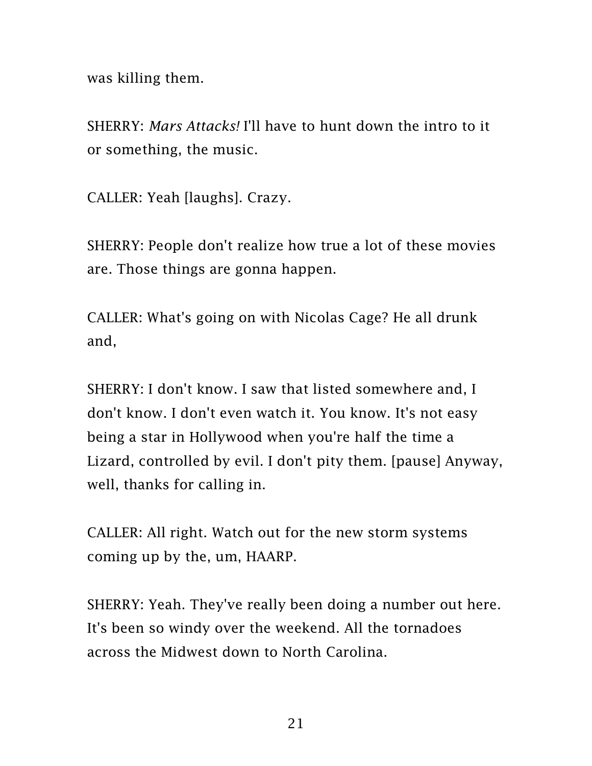was killing them.

SHERRY: *Mars Attacks!* I'll have to hunt down the intro to it or something, the music.

CALLER: Yeah [laughs]. Crazy.

SHERRY: People don't realize how true a lot of these movies are. Those things are gonna happen.

CALLER: What's going on with Nicolas Cage? He all drunk and,

SHERRY: I don't know. I saw that listed somewhere and, I don't know. I don't even watch it. You know. It's not easy being a star in Hollywood when you're half the time a Lizard, controlled by evil. I don't pity them. [pause] Anyway, well, thanks for calling in.

CALLER: All right. Watch out for the new storm systems coming up by the, um, HAARP.

SHERRY: Yeah. They've really been doing a number out here. It's been so windy over the weekend. All the tornadoes across the Midwest down to North Carolina.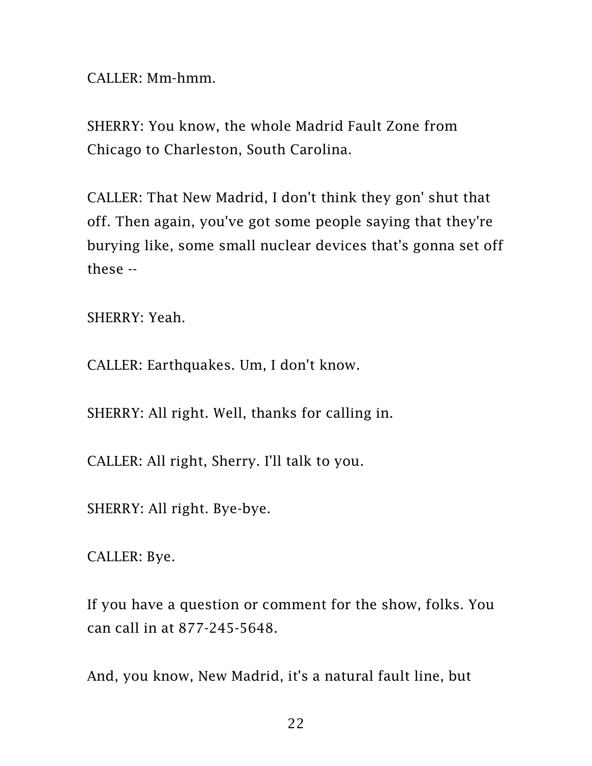CALLER: Mm-hmm.

SHERRY: You know, the whole Madrid Fault Zone from Chicago to Charleston, South Carolina.

CALLER: That New Madrid, I don't think they gon' shut that off. Then again, you've got some people saying that they're burying like, some small nuclear devices that's gonna set off these --

SHERRY: Yeah.

CALLER: Earthquakes. Um, I don't know.

SHERRY: All right. Well, thanks for calling in.

CALLER: All right, Sherry. I'll talk to you.

SHERRY: All right. Bye-bye.

CALLER: Bye.

If you have a question or comment for the show, folks. You can call in at 877-245-5648.

And, you know, New Madrid, it's a natural fault line, but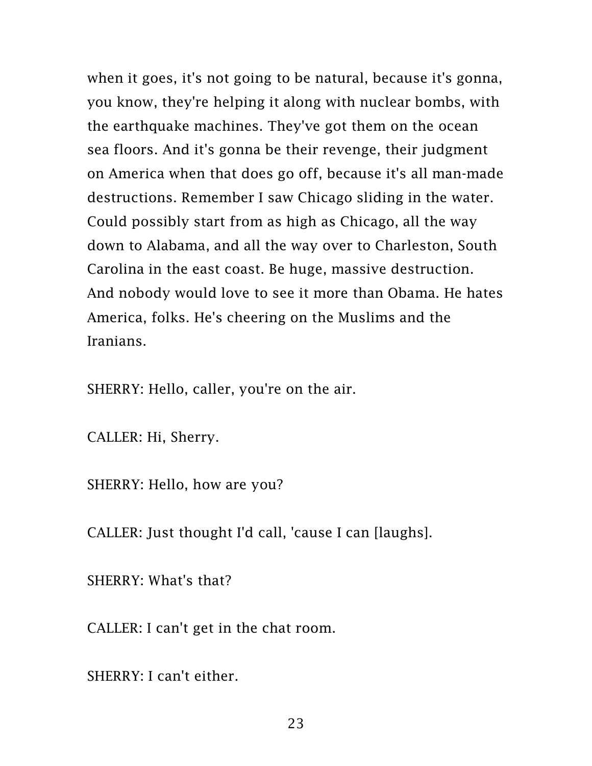when it goes, it's not going to be natural, because it's gonna, you know, they're helping it along with nuclear bombs, with the earthquake machines. They've got them on the ocean sea floors. And it's gonna be their revenge, their judgment on America when that does go off, because it's all man-made destructions. Remember I saw Chicago sliding in the water. Could possibly start from as high as Chicago, all the way down to Alabama, and all the way over to Charleston, South Carolina in the east coast. Be huge, massive destruction. And nobody would love to see it more than Obama. He hates America, folks. He's cheering on the Muslims and the Iranians.

SHERRY: Hello, caller, you're on the air.

CALLER: Hi, Sherry.

SHERRY: Hello, how are you?

CALLER: Just thought I'd call, 'cause I can [laughs].

SHERRY: What's that?

CALLER: I can't get in the chat room.

SHERRY: I can't either.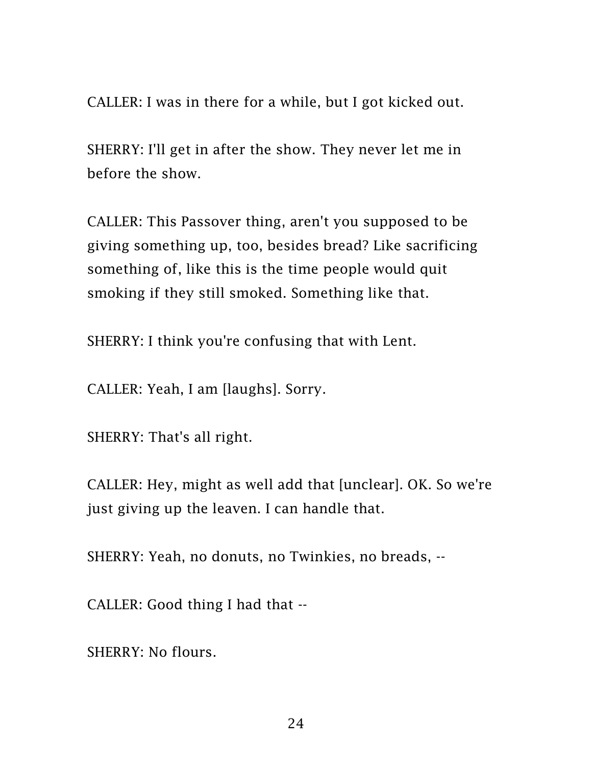CALLER: I was in there for a while, but I got kicked out.

SHERRY: I'll get in after the show. They never let me in before the show.

CALLER: This Passover thing, aren't you supposed to be giving something up, too, besides bread? Like sacrificing something of, like this is the time people would quit smoking if they still smoked. Something like that.

SHERRY: I think you're confusing that with Lent.

CALLER: Yeah, I am [laughs]. Sorry.

SHERRY: That's all right.

CALLER: Hey, might as well add that [unclear]. OK. So we're just giving up the leaven. I can handle that.

SHERRY: Yeah, no donuts, no Twinkies, no breads, --

CALLER: Good thing I had that --

SHERRY: No flours.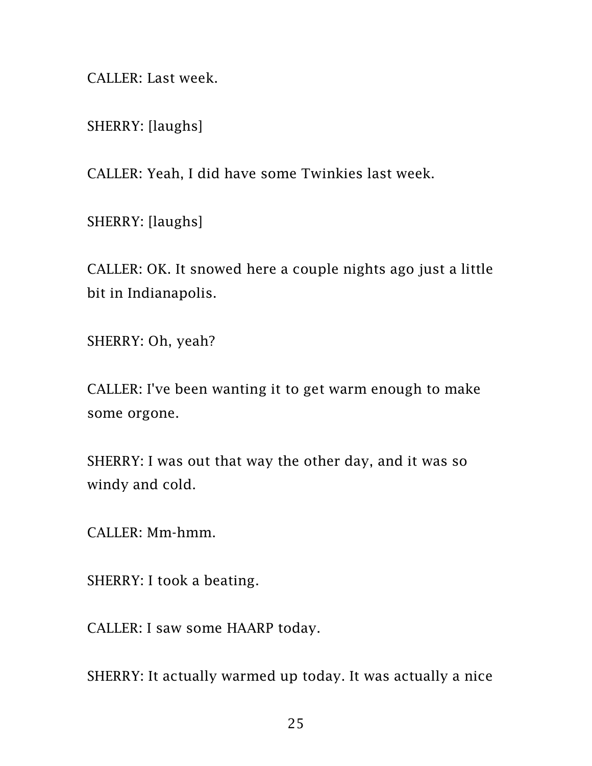CALLER: Last week.

SHERRY: [laughs]

CALLER: Yeah, I did have some Twinkies last week.

SHERRY: [laughs]

CALLER: OK. It snowed here a couple nights ago just a little bit in Indianapolis.

SHERRY: Oh, yeah?

CALLER: I've been wanting it to get warm enough to make some orgone.

SHERRY: I was out that way the other day, and it was so windy and cold.

CALLER: Mm-hmm.

SHERRY: I took a beating.

CALLER: I saw some HAARP today.

SHERRY: It actually warmed up today. It was actually a nice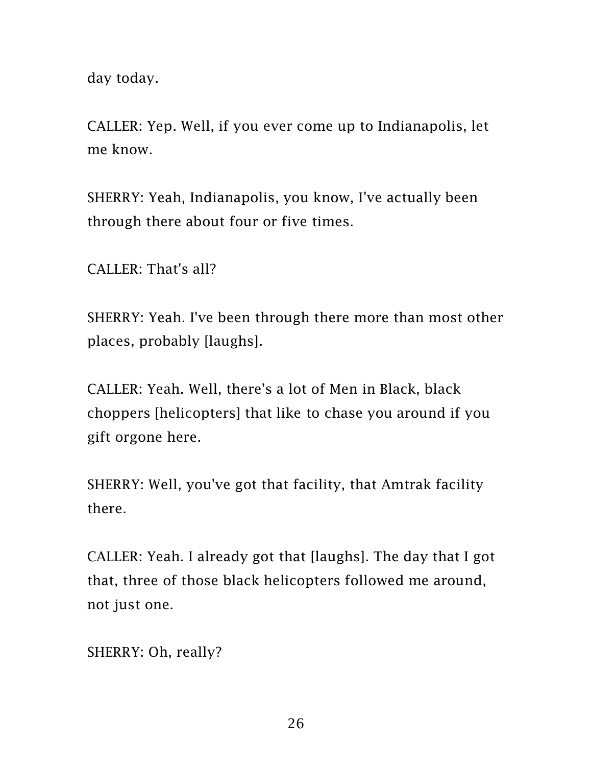day today.

CALLER: Yep. Well, if you ever come up to Indianapolis, let me know.

SHERRY: Yeah, Indianapolis, you know, I've actually been through there about four or five times.

CALLER: That's all?

SHERRY: Yeah. I've been through there more than most other places, probably [laughs].

CALLER: Yeah. Well, there's a lot of Men in Black, black choppers [helicopters] that like to chase you around if you gift orgone here.

SHERRY: Well, you've got that facility, that Amtrak facility there.

CALLER: Yeah. I already got that [laughs]. The day that I got that, three of those black helicopters followed me around, not just one.

SHERRY: Oh, really?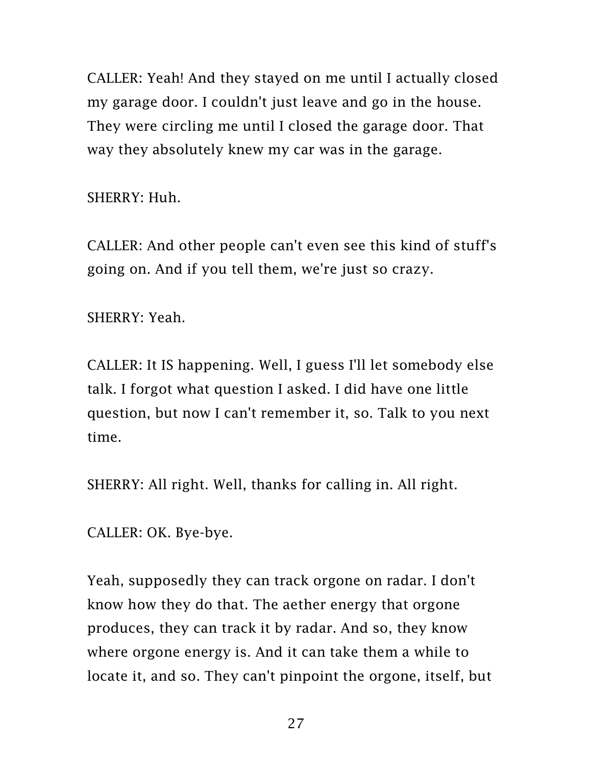CALLER: Yeah! And they stayed on me until I actually closed my garage door. I couldn't just leave and go in the house. They were circling me until I closed the garage door. That way they absolutely knew my car was in the garage.

SHERRY: Huh.

CALLER: And other people can't even see this kind of stuff's going on. And if you tell them, we're just so crazy.

SHERRY: Yeah.

CALLER: It IS happening. Well, I guess I'll let somebody else talk. I forgot what question I asked. I did have one little question, but now I can't remember it, so. Talk to you next time.

SHERRY: All right. Well, thanks for calling in. All right.

CALLER: OK. Bye-bye.

Yeah, supposedly they can track orgone on radar. I don't know how they do that. The aether energy that orgone produces, they can track it by radar. And so, they know where orgone energy is. And it can take them a while to locate it, and so. They can't pinpoint the orgone, itself, but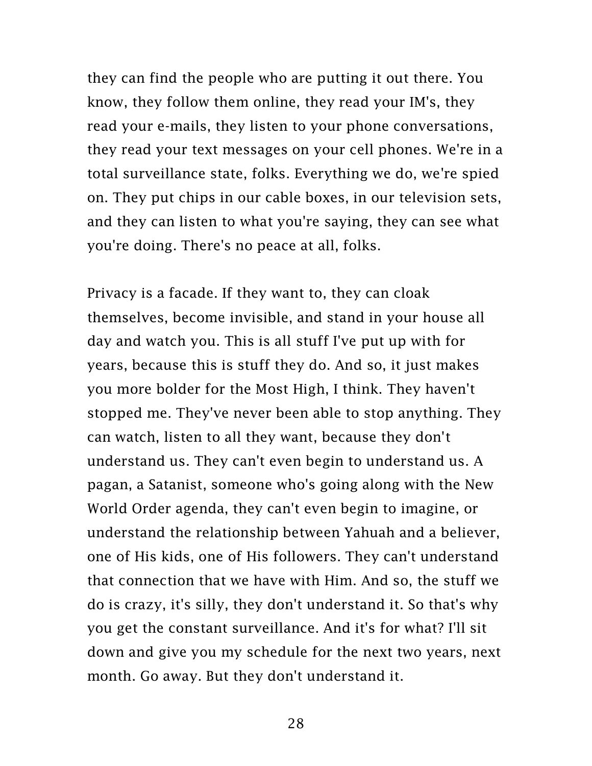they can find the people who are putting it out there. You know, they follow them online, they read your IM's, they read your e-mails, they listen to your phone conversations, they read your text messages on your cell phones. We're in a total surveillance state, folks. Everything we do, we're spied on. They put chips in our cable boxes, in our television sets, and they can listen to what you're saying, they can see what you're doing. There's no peace at all, folks.

Privacy is a facade. If they want to, they can cloak themselves, become invisible, and stand in your house all day and watch you. This is all stuff I've put up with for years, because this is stuff they do. And so, it just makes you more bolder for the Most High, I think. They haven't stopped me. They've never been able to stop anything. They can watch, listen to all they want, because they don't understand us. They can't even begin to understand us. A pagan, a Satanist, someone who's going along with the New World Order agenda, they can't even begin to imagine, or understand the relationship between Yahuah and a believer, one of His kids, one of His followers. They can't understand that connection that we have with Him. And so, the stuff we do is crazy, it's silly, they don't understand it. So that's why you get the constant surveillance. And it's for what? I'll sit down and give you my schedule for the next two years, next month. Go away. But they don't understand it.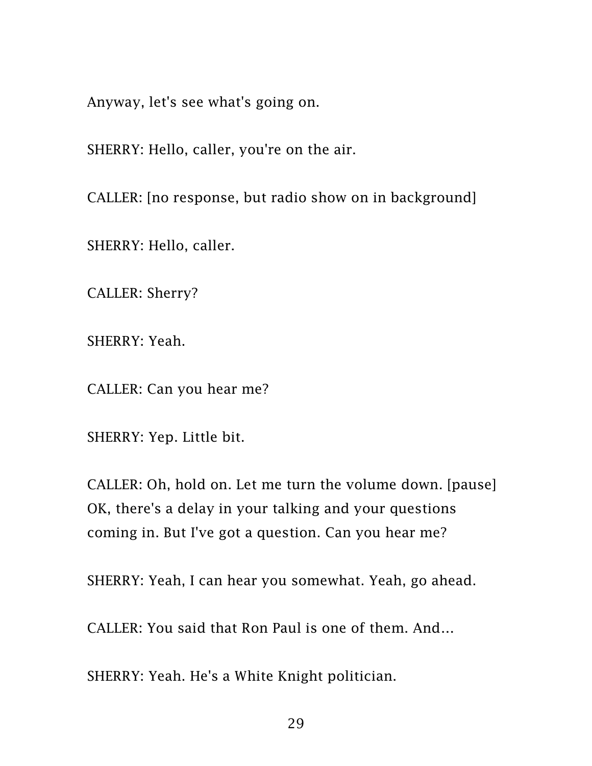Anyway, let's see what's going on.

SHERRY: Hello, caller, you're on the air.

CALLER: [no response, but radio show on in background]

SHERRY: Hello, caller.

CALLER: Sherry?

SHERRY: Yeah.

CALLER: Can you hear me?

SHERRY: Yep. Little bit.

CALLER: Oh, hold on. Let me turn the volume down. [pause] OK, there's a delay in your talking and your questions coming in. But I've got a question. Can you hear me?

SHERRY: Yeah, I can hear you somewhat. Yeah, go ahead.

CALLER: You said that Ron Paul is one of them. And…

SHERRY: Yeah. He's a White Knight politician.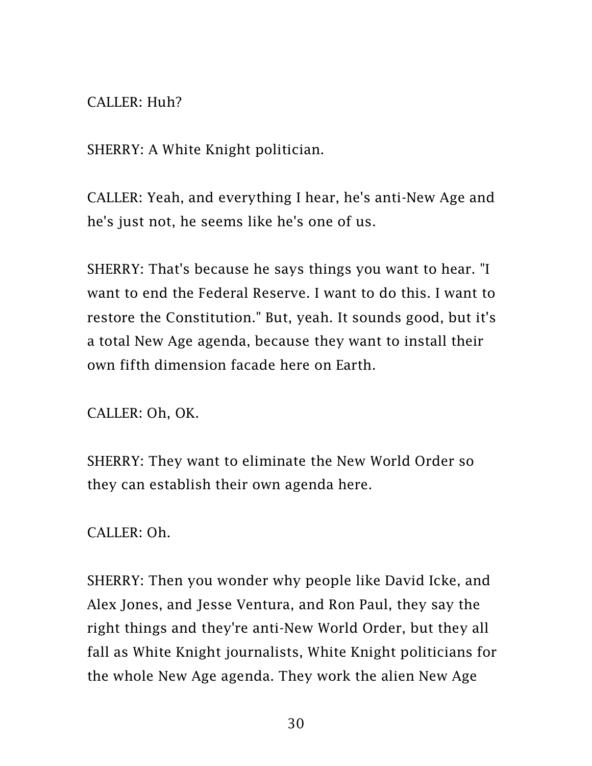## CALLER: Huh?

SHERRY: A White Knight politician.

CALLER: Yeah, and everything I hear, he's anti-New Age and he's just not, he seems like he's one of us.

SHERRY: That's because he says things you want to hear. "I want to end the Federal Reserve. I want to do this. I want to restore the Constitution." But, yeah. It sounds good, but it's a total New Age agenda, because they want to install their own fifth dimension facade here on Earth.

CALLER: Oh, OK.

SHERRY: They want to eliminate the New World Order so they can establish their own agenda here.

CALLER: Oh.

SHERRY: Then you wonder why people like David Icke, and Alex Jones, and Jesse Ventura, and Ron Paul, they say the right things and they're anti-New World Order, but they all fall as White Knight journalists, White Knight politicians for the whole New Age agenda. They work the alien New Age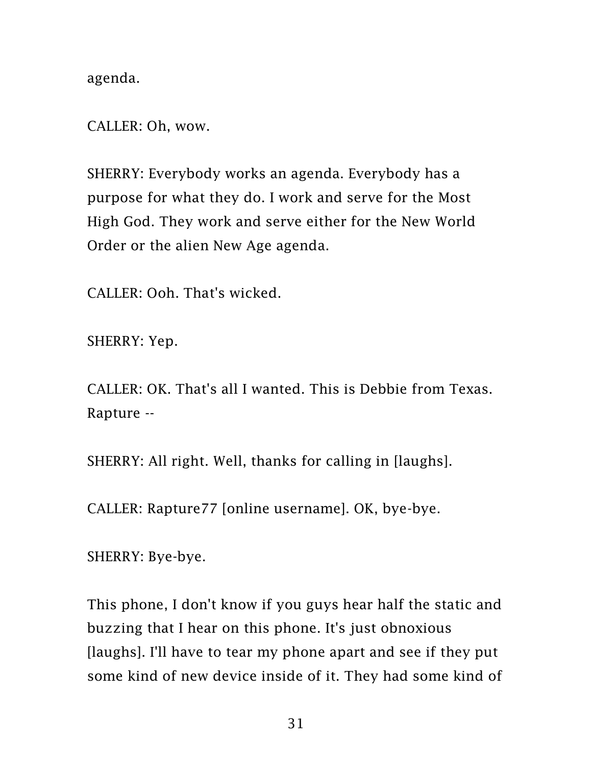agenda.

CALLER: Oh, wow.

SHERRY: Everybody works an agenda. Everybody has a purpose for what they do. I work and serve for the Most High God. They work and serve either for the New World Order or the alien New Age agenda.

CALLER: Ooh. That's wicked.

SHERRY: Yep.

CALLER: OK. That's all I wanted. This is Debbie from Texas. Rapture --

SHERRY: All right. Well, thanks for calling in [laughs].

CALLER: Rapture77 [online username]. OK, bye-bye.

SHERRY: Bye-bye.

This phone, I don't know if you guys hear half the static and buzzing that I hear on this phone. It's just obnoxious [laughs]. I'll have to tear my phone apart and see if they put some kind of new device inside of it. They had some kind of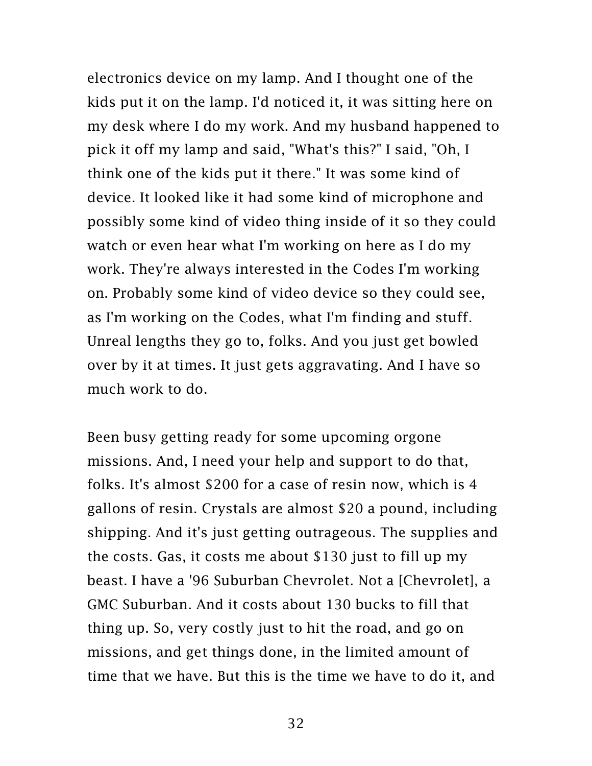electronics device on my lamp. And I thought one of the kids put it on the lamp. I'd noticed it, it was sitting here on my desk where I do my work. And my husband happened to pick it off my lamp and said, "What's this?" I said, "Oh, I think one of the kids put it there." It was some kind of device. It looked like it had some kind of microphone and possibly some kind of video thing inside of it so they could watch or even hear what I'm working on here as I do my work. They're always interested in the Codes I'm working on. Probably some kind of video device so they could see, as I'm working on the Codes, what I'm finding and stuff. Unreal lengths they go to, folks. And you just get bowled over by it at times. It just gets aggravating. And I have so much work to do.

Been busy getting ready for some upcoming orgone missions. And, I need your help and support to do that, folks. It's almost \$200 for a case of resin now, which is 4 gallons of resin. Crystals are almost \$20 a pound, including shipping. And it's just getting outrageous. The supplies and the costs. Gas, it costs me about \$130 just to fill up my beast. I have a '96 Suburban Chevrolet. Not a [Chevrolet], a GMC Suburban. And it costs about 130 bucks to fill that thing up. So, very costly just to hit the road, and go on missions, and get things done, in the limited amount of time that we have. But this is the time we have to do it, and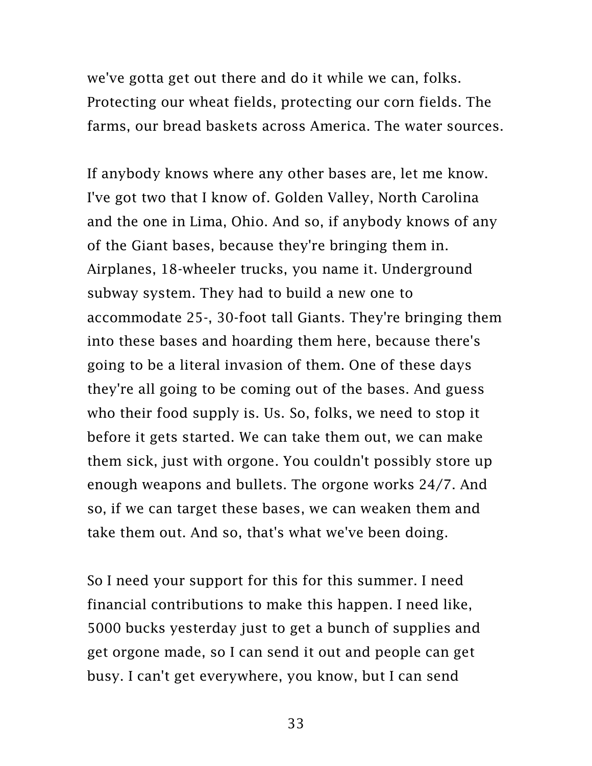we've gotta get out there and do it while we can, folks. Protecting our wheat fields, protecting our corn fields. The farms, our bread baskets across America. The water sources.

If anybody knows where any other bases are, let me know. I've got two that I know of. Golden Valley, North Carolina and the one in Lima, Ohio. And so, if anybody knows of any of the Giant bases, because they're bringing them in. Airplanes, 18-wheeler trucks, you name it. Underground subway system. They had to build a new one to accommodate 25-, 30-foot tall Giants. They're bringing them into these bases and hoarding them here, because there's going to be a literal invasion of them. One of these days they're all going to be coming out of the bases. And guess who their food supply is. Us. So, folks, we need to stop it before it gets started. We can take them out, we can make them sick, just with orgone. You couldn't possibly store up enough weapons and bullets. The orgone works 24/7. And so, if we can target these bases, we can weaken them and take them out. And so, that's what we've been doing.

So I need your support for this for this summer. I need financial contributions to make this happen. I need like, 5000 bucks yesterday just to get a bunch of supplies and get orgone made, so I can send it out and people can get busy. I can't get everywhere, you know, but I can send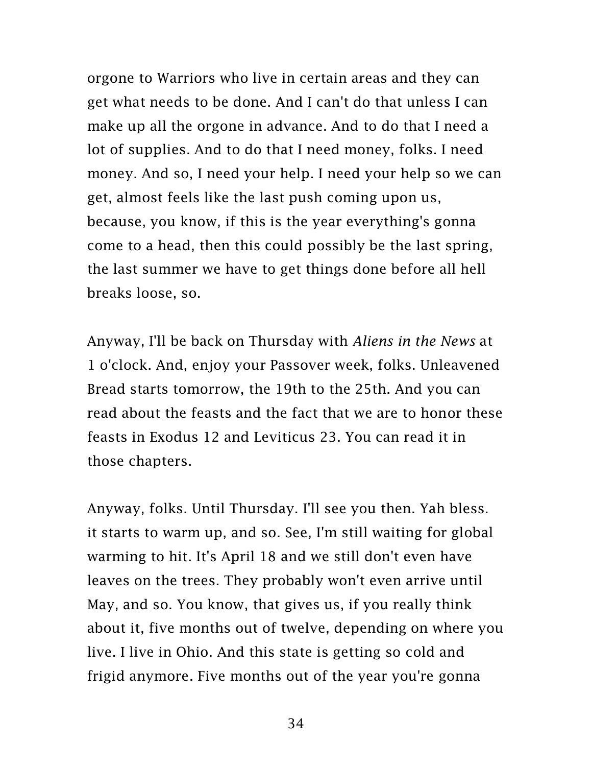orgone to Warriors who live in certain areas and they can get what needs to be done. And I can't do that unless I can make up all the orgone in advance. And to do that I need a lot of supplies. And to do that I need money, folks. I need money. And so, I need your help. I need your help so we can get, almost feels like the last push coming upon us, because, you know, if this is the year everything's gonna come to a head, then this could possibly be the last spring, the last summer we have to get things done before all hell breaks loose, so.

Anyway, I'll be back on Thursday with *Aliens in the News* at 1 o'clock. And, enjoy your Passover week, folks. Unleavened Bread starts tomorrow, the 19th to the 25th. And you can read about the feasts and the fact that we are to honor these feasts in Exodus 12 and Leviticus 23. You can read it in those chapters.

Anyway, folks. Until Thursday. I'll see you then. Yah bless. it starts to warm up, and so. See, I'm still waiting for global warming to hit. It's April 18 and we still don't even have leaves on the trees. They probably won't even arrive until May, and so. You know, that gives us, if you really think about it, five months out of twelve, depending on where you live. I live in Ohio. And this state is getting so cold and frigid anymore. Five months out of the year you're gonna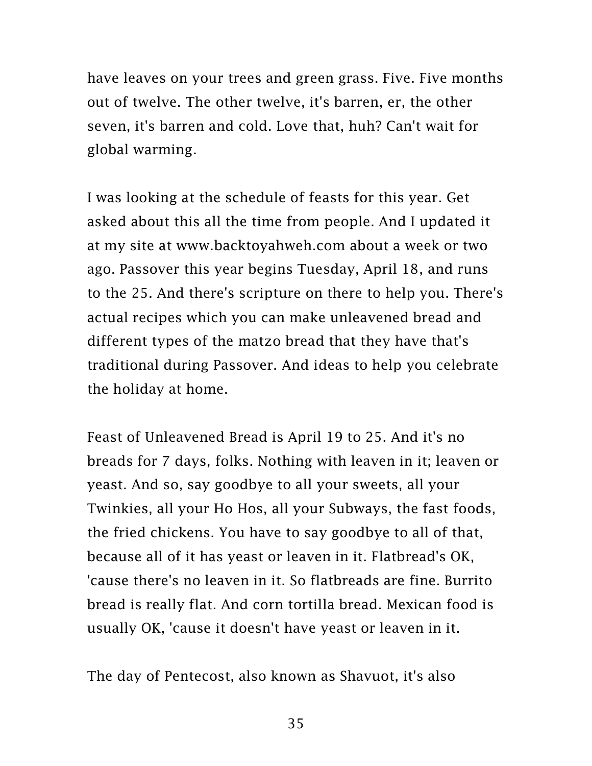have leaves on your trees and green grass. Five. Five months out of twelve. The other twelve, it's barren, er, the other seven, it's barren and cold. Love that, huh? Can't wait for global warming.

I was looking at the schedule of feasts for this year. Get asked about this all the time from people. And I updated it at my site at [www.backtoyahweh.com](http://www.backtoyahweh.com/) about a week or two ago. Passover this year begins Tuesday, April 18, and runs to the 25. And there's scripture on there to help you. There's actual recipes which you can make unleavened bread and different types of the matzo bread that they have that's traditional during Passover. And ideas to help you celebrate the holiday at home.

Feast of Unleavened Bread is April 19 to 25. And it's no breads for 7 days, folks. Nothing with leaven in it; leaven or yeast. And so, say goodbye to all your sweets, all your Twinkies, all your Ho Hos, all your Subways, the fast foods, the fried chickens. You have to say goodbye to all of that, because all of it has yeast or leaven in it. Flatbread's OK, 'cause there's no leaven in it. So flatbreads are fine. Burrito bread is really flat. And corn tortilla bread. Mexican food is usually OK, 'cause it doesn't have yeast or leaven in it.

The day of Pentecost, also known as Shavuot, it's also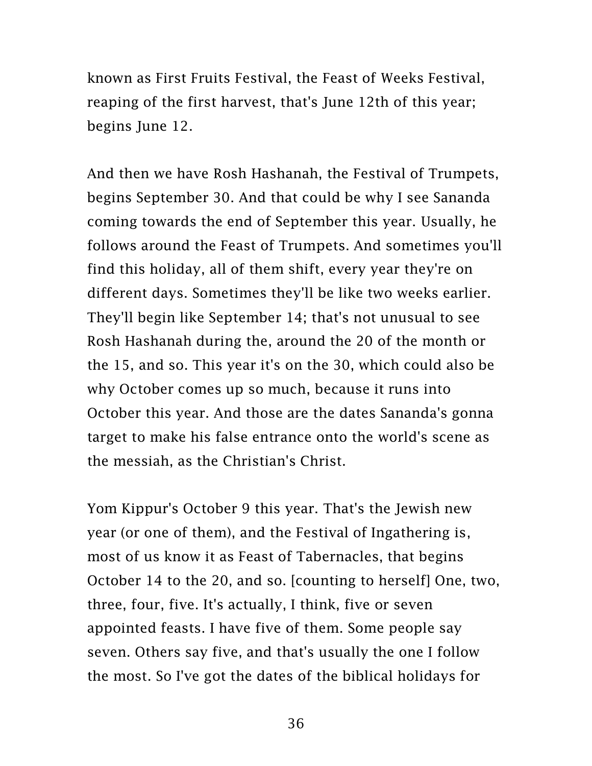known as First Fruits Festival, the Feast of Weeks Festival, reaping of the first harvest, that's June 12th of this year; begins June 12.

And then we have Rosh Hashanah, the Festival of Trumpets, begins September 30. And that could be why I see Sananda coming towards the end of September this year. Usually, he follows around the Feast of Trumpets. And sometimes you'll find this holiday, all of them shift, every year they're on different days. Sometimes they'll be like two weeks earlier. They'll begin like September 14; that's not unusual to see Rosh Hashanah during the, around the 20 of the month or the 15, and so. This year it's on the 30, which could also be why October comes up so much, because it runs into October this year. And those are the dates Sananda's gonna target to make his false entrance onto the world's scene as the messiah, as the Christian's Christ.

Yom Kippur's October 9 this year. That's the Jewish new year (or one of them), and the Festival of Ingathering is, most of us know it as Feast of Tabernacles, that begins October 14 to the 20, and so. [counting to herself] One, two, three, four, five. It's actually, I think, five or seven appointed feasts. I have five of them. Some people say seven. Others say five, and that's usually the one I follow the most. So I've got the dates of the biblical holidays for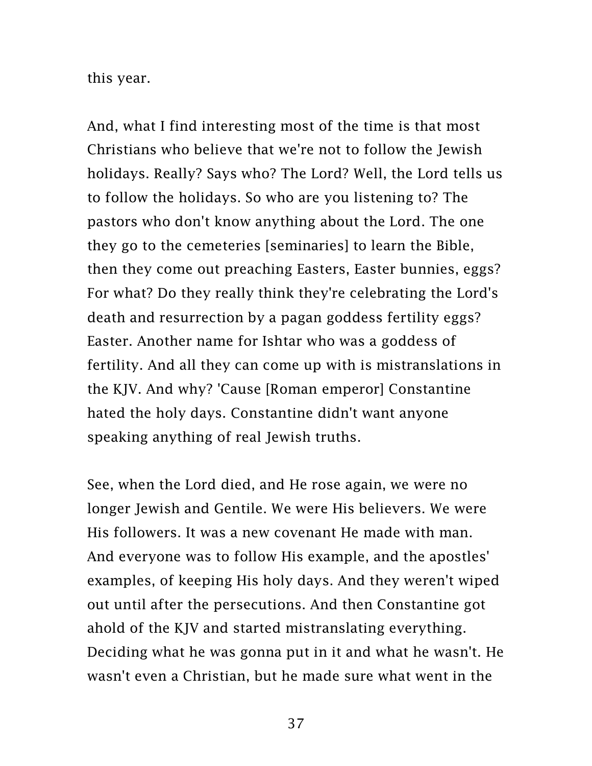this year.

And, what I find interesting most of the time is that most Christians who believe that we're not to follow the Jewish holidays. Really? Says who? The Lord? Well, the Lord tells us to follow the holidays. So who are you listening to? The pastors who don't know anything about the Lord. The one they go to the cemeteries [seminaries] to learn the Bible, then they come out preaching Easters, Easter bunnies, eggs? For what? Do they really think they're celebrating the Lord's death and resurrection by a pagan goddess fertility eggs? Easter. Another name for Ishtar who was a goddess of fertility. And all they can come up with is mistranslations in the KJV. And why? 'Cause [Roman emperor] Constantine hated the holy days. Constantine didn't want anyone speaking anything of real Jewish truths.

See, when the Lord died, and He rose again, we were no longer Jewish and Gentile. We were His believers. We were His followers. It was a new covenant He made with man. And everyone was to follow His example, and the apostles' examples, of keeping His holy days. And they weren't wiped out until after the persecutions. And then Constantine got ahold of the KJV and started mistranslating everything. Deciding what he was gonna put in it and what he wasn't. He wasn't even a Christian, but he made sure what went in the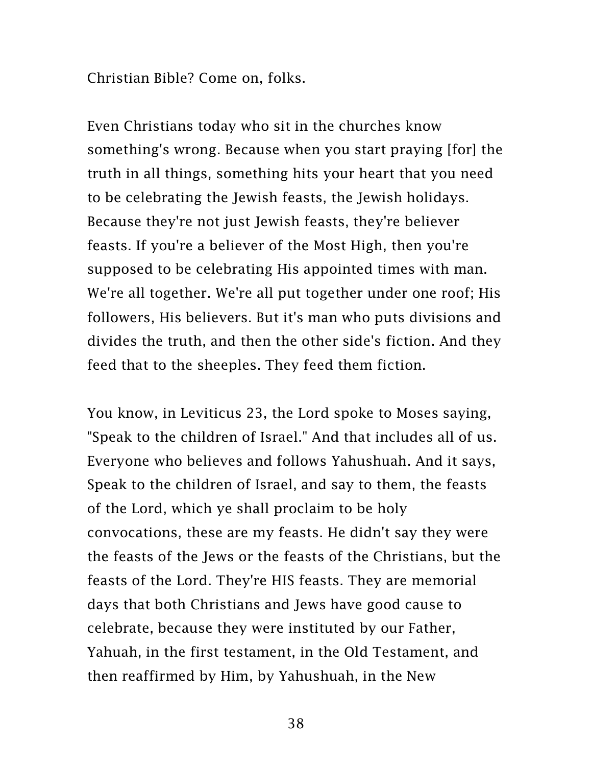Christian Bible? Come on, folks.

Even Christians today who sit in the churches know something's wrong. Because when you start praying [for] the truth in all things, something hits your heart that you need to be celebrating the Jewish feasts, the Jewish holidays. Because they're not just Jewish feasts, they're believer feasts. If you're a believer of the Most High, then you're supposed to be celebrating His appointed times with man. We're all together. We're all put together under one roof; His followers, His believers. But it's man who puts divisions and divides the truth, and then the other side's fiction. And they feed that to the sheeples. They feed them fiction.

You know, in Leviticus 23, the Lord spoke to Moses saying, "Speak to the children of Israel." And that includes all of us. Everyone who believes and follows Yahushuah. And it says, Speak to the children of Israel, and say to them, the feasts of the Lord, which ye shall proclaim to be holy convocations, these are my feasts. He didn't say they were the feasts of the Jews or the feasts of the Christians, but the feasts of the Lord. They're HIS feasts. They are memorial days that both Christians and Jews have good cause to celebrate, because they were instituted by our Father, Yahuah, in the first testament, in the Old Testament, and then reaffirmed by Him, by Yahushuah, in the New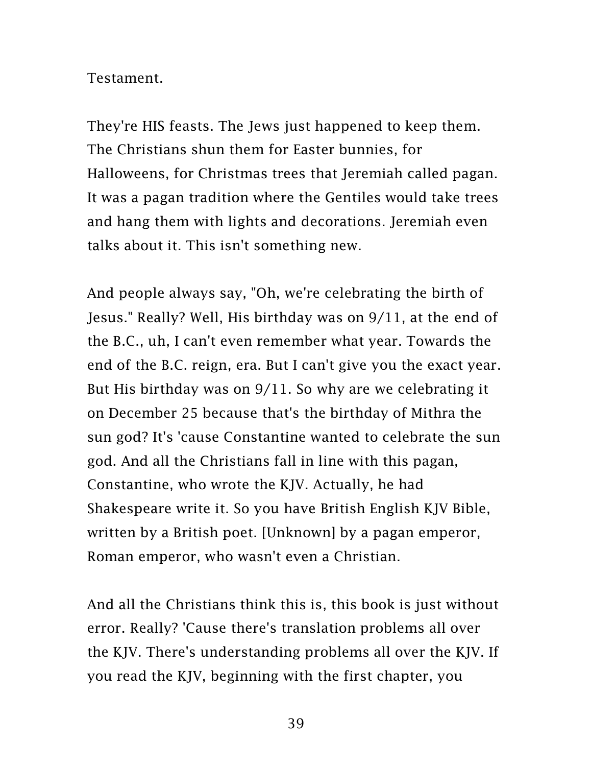## Testament.

They're HIS feasts. The Jews just happened to keep them. The Christians shun them for Easter bunnies, for Halloweens, for Christmas trees that Jeremiah called pagan. It was a pagan tradition where the Gentiles would take trees and hang them with lights and decorations. Jeremiah even talks about it. This isn't something new.

And people always say, "Oh, we're celebrating the birth of Jesus." Really? Well, His birthday was on 9/11, at the end of the B.C., uh, I can't even remember what year. Towards the end of the B.C. reign, era. But I can't give you the exact year. But His birthday was on 9/11. So why are we celebrating it on December 25 because that's the birthday of Mithra the sun god? It's 'cause Constantine wanted to celebrate the sun god. And all the Christians fall in line with this pagan, Constantine, who wrote the KJV. Actually, he had Shakespeare write it. So you have British English KJV Bible, written by a British poet. [Unknown] by a pagan emperor, Roman emperor, who wasn't even a Christian.

And all the Christians think this is, this book is just without error. Really? 'Cause there's translation problems all over the KJV. There's understanding problems all over the KJV. If you read the KJV, beginning with the first chapter, you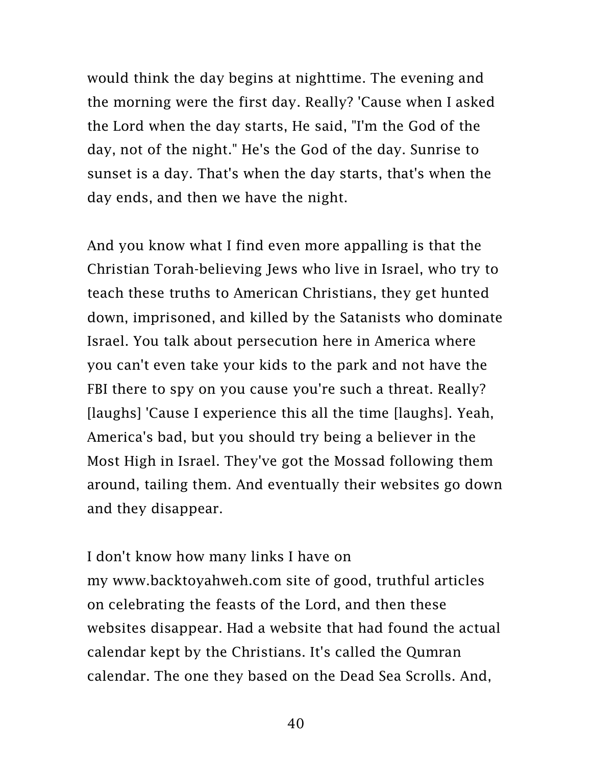would think the day begins at nighttime. The evening and the morning were the first day. Really? 'Cause when I asked the Lord when the day starts, He said, "I'm the God of the day, not of the night." He's the God of the day. Sunrise to sunset is a day. That's when the day starts, that's when the day ends, and then we have the night.

And you know what I find even more appalling is that the Christian Torah-believing Jews who live in Israel, who try to teach these truths to American Christians, they get hunted down, imprisoned, and killed by the Satanists who dominate Israel. You talk about persecution here in America where you can't even take your kids to the park and not have the FBI there to spy on you cause you're such a threat. Really? [laughs] 'Cause I experience this all the time [laughs]. Yeah, America's bad, but you should try being a believer in the Most High in Israel. They've got the Mossad following them around, tailing them. And eventually their websites go down and they disappear.

I don't know how many links I have on my [www.backtoyahweh.com](http://www.backtoyahweh.com/) site of good, truthful articles on celebrating the feasts of the Lord, and then these websites disappear. Had a website that had found the actual calendar kept by the Christians. It's called the Qumran calendar. The one they based on the Dead Sea Scrolls. And,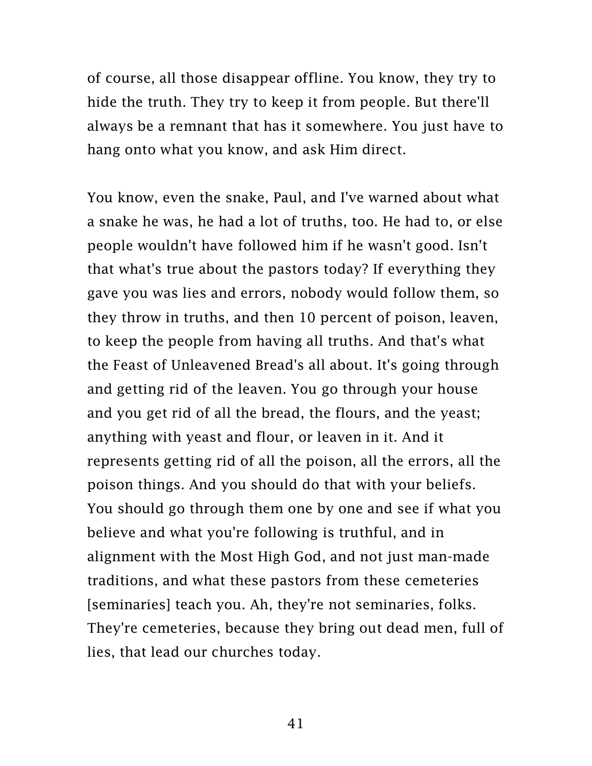of course, all those disappear offline. You know, they try to hide the truth. They try to keep it from people. But there'll always be a remnant that has it somewhere. You just have to hang onto what you know, and ask Him direct.

You know, even the snake, Paul, and I've warned about what a snake he was, he had a lot of truths, too. He had to, or else people wouldn't have followed him if he wasn't good. Isn't that what's true about the pastors today? If everything they gave you was lies and errors, nobody would follow them, so they throw in truths, and then 10 percent of poison, leaven, to keep the people from having all truths. And that's what the Feast of Unleavened Bread's all about. It's going through and getting rid of the leaven. You go through your house and you get rid of all the bread, the flours, and the yeast; anything with yeast and flour, or leaven in it. And it represents getting rid of all the poison, all the errors, all the poison things. And you should do that with your beliefs. You should go through them one by one and see if what you believe and what you're following is truthful, and in alignment with the Most High God, and not just man-made traditions, and what these pastors from these cemeteries [seminaries] teach you. Ah, they're not seminaries, folks. They're cemeteries, because they bring out dead men, full of lies, that lead our churches today.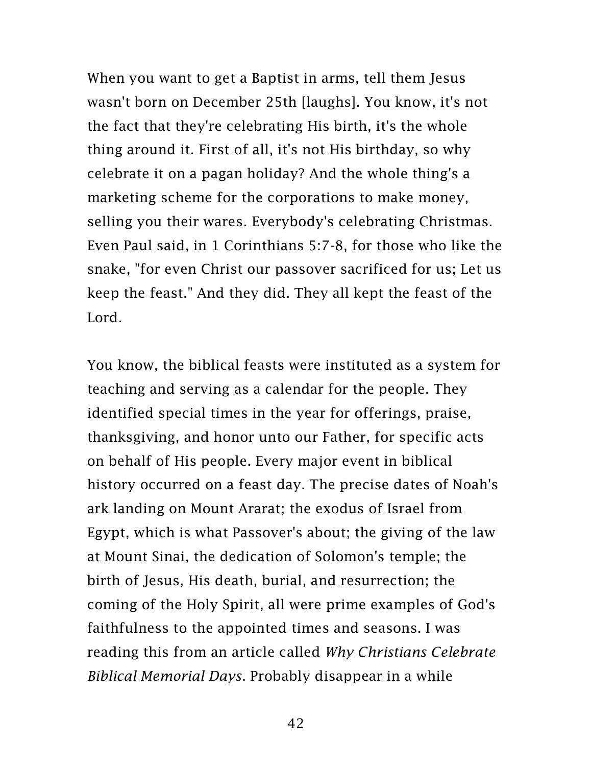When you want to get a Baptist in arms, tell them Jesus wasn't born on December 25th [laughs]. You know, it's not the fact that they're celebrating His birth, it's the whole thing around it. First of all, it's not His birthday, so why celebrate it on a pagan holiday? And the whole thing's a marketing scheme for the corporations to make money, selling you their wares. Everybody's celebrating Christmas. Even Paul said, in 1 Corinthians 5:7-8, for those who like the snake, "for even Christ our passover sacrificed for us; Let us keep the feast." And they did. They all kept the feast of the Lord.

You know, the biblical feasts were instituted as a system for teaching and serving as a calendar for the people. They identified special times in the year for offerings, praise, thanksgiving, and honor unto our Father, for specific acts on behalf of His people. Every major event in biblical history occurred on a feast day. The precise dates of Noah's ark landing on Mount Ararat; the exodus of Israel from Egypt, which is what Passover's about; the giving of the law at Mount Sinai, the dedication of Solomon's temple; the birth of Jesus, His death, burial, and resurrection; the coming of the Holy Spirit, all were prime examples of God's faithfulness to the appointed times and seasons. I was reading this from an article called *Why Christians Celebrate Biblical Memorial Days*. Probably disappear in a while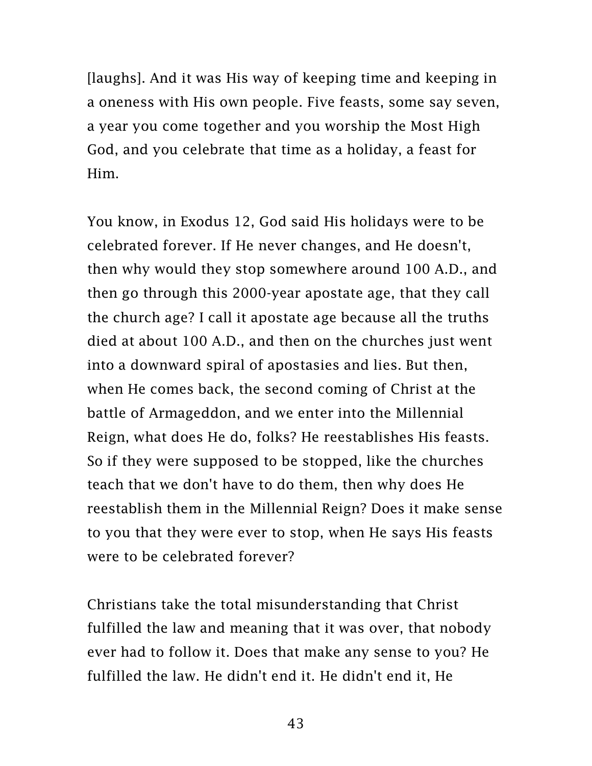[laughs]. And it was His way of keeping time and keeping in a oneness with His own people. Five feasts, some say seven, a year you come together and you worship the Most High God, and you celebrate that time as a holiday, a feast for Him.

You know, in Exodus 12, God said His holidays were to be celebrated forever. If He never changes, and He doesn't, then why would they stop somewhere around 100 A.D., and then go through this 2000-year apostate age, that they call the church age? I call it apostate age because all the truths died at about 100 A.D., and then on the churches just went into a downward spiral of apostasies and lies. But then, when He comes back, the second coming of Christ at the battle of Armageddon, and we enter into the Millennial Reign, what does He do, folks? He reestablishes His feasts. So if they were supposed to be stopped, like the churches teach that we don't have to do them, then why does He reestablish them in the Millennial Reign? Does it make sense to you that they were ever to stop, when He says His feasts were to be celebrated forever?

Christians take the total misunderstanding that Christ fulfilled the law and meaning that it was over, that nobody ever had to follow it. Does that make any sense to you? He fulfilled the law. He didn't end it. He didn't end it, He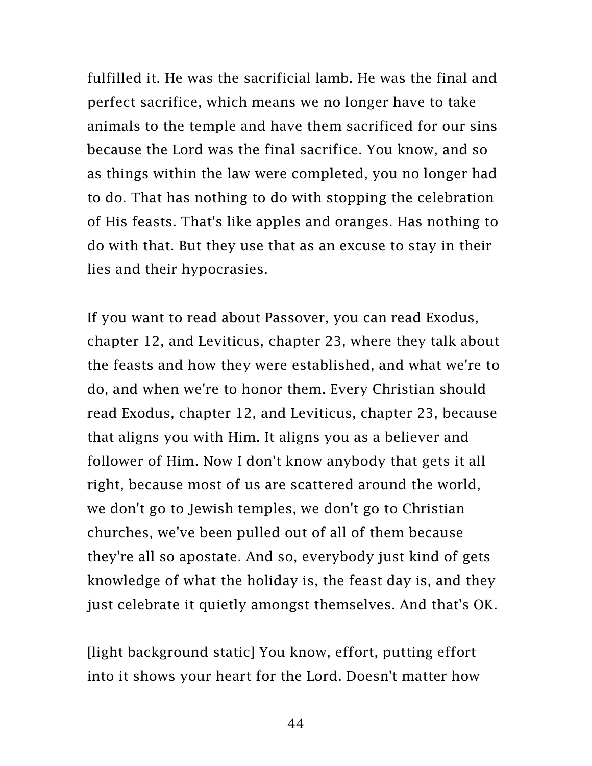fulfilled it. He was the sacrificial lamb. He was the final and perfect sacrifice, which means we no longer have to take animals to the temple and have them sacrificed for our sins because the Lord was the final sacrifice. You know, and so as things within the law were completed, you no longer had to do. That has nothing to do with stopping the celebration of His feasts. That's like apples and oranges. Has nothing to do with that. But they use that as an excuse to stay in their lies and their hypocrasies.

If you want to read about Passover, you can read Exodus, chapter 12, and Leviticus, chapter 23, where they talk about the feasts and how they were established, and what we're to do, and when we're to honor them. Every Christian should read Exodus, chapter 12, and Leviticus, chapter 23, because that aligns you with Him. It aligns you as a believer and follower of Him. Now I don't know anybody that gets it all right, because most of us are scattered around the world, we don't go to Jewish temples, we don't go to Christian churches, we've been pulled out of all of them because they're all so apostate. And so, everybody just kind of gets knowledge of what the holiday is, the feast day is, and they just celebrate it quietly amongst themselves. And that's OK.

[light background static] You know, effort, putting effort into it shows your heart for the Lord. Doesn't matter how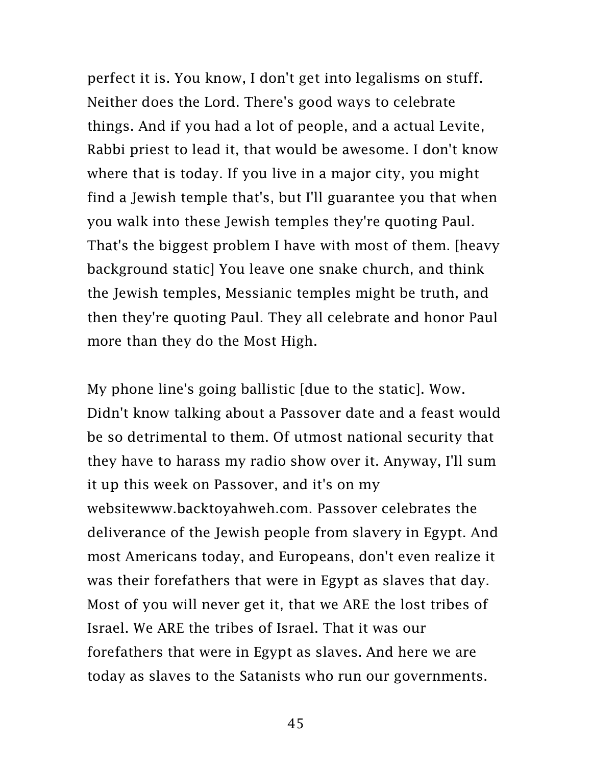perfect it is. You know, I don't get into legalisms on stuff. Neither does the Lord. There's good ways to celebrate things. And if you had a lot of people, and a actual Levite, Rabbi priest to lead it, that would be awesome. I don't know where that is today. If you live in a major city, you might find a Jewish temple that's, but I'll guarantee you that when you walk into these Jewish temples they're quoting Paul. That's the biggest problem I have with most of them. [heavy background static] You leave one snake church, and think the Jewish temples, Messianic temples might be truth, and then they're quoting Paul. They all celebrate and honor Paul more than they do the Most High.

My phone line's going ballistic [due to the static]. Wow. Didn't know talking about a Passover date and a feast would be so detrimental to them. Of utmost national security that they have to harass my radio show over it. Anyway, I'll sum it up this week on Passover, and it's on my websit[ewww.backtoyahweh.com.](http://www.backtoyahweh.com/) Passover celebrates the deliverance of the Jewish people from slavery in Egypt. And most Americans today, and Europeans, don't even realize it was their forefathers that were in Egypt as slaves that day. Most of you will never get it, that we ARE the lost tribes of Israel. We ARE the tribes of Israel. That it was our forefathers that were in Egypt as slaves. And here we are today as slaves to the Satanists who run our governments.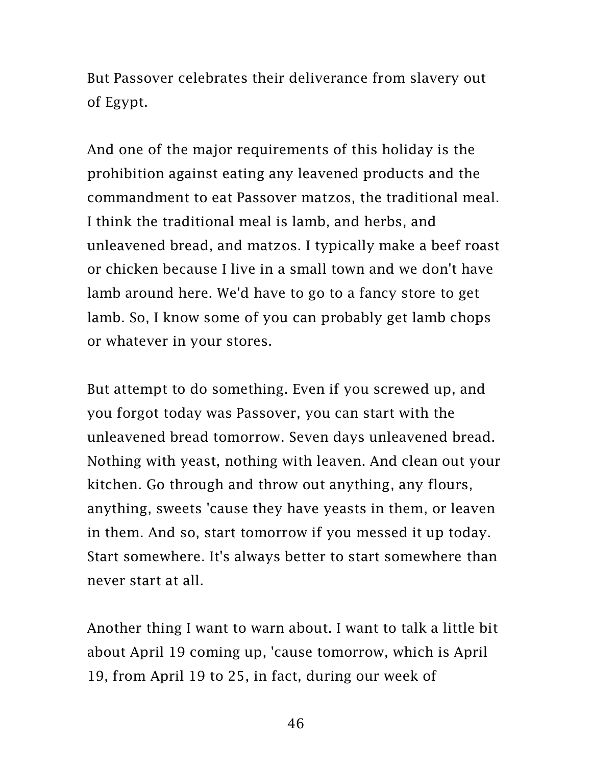But Passover celebrates their deliverance from slavery out of Egypt.

And one of the major requirements of this holiday is the prohibition against eating any leavened products and the commandment to eat Passover matzos, the traditional meal. I think the traditional meal is lamb, and herbs, and unleavened bread, and matzos. I typically make a beef roast or chicken because I live in a small town and we don't have lamb around here. We'd have to go to a fancy store to get lamb. So, I know some of you can probably get lamb chops or whatever in your stores.

But attempt to do something. Even if you screwed up, and you forgot today was Passover, you can start with the unleavened bread tomorrow. Seven days unleavened bread. Nothing with yeast, nothing with leaven. And clean out your kitchen. Go through and throw out anything, any flours, anything, sweets 'cause they have yeasts in them, or leaven in them. And so, start tomorrow if you messed it up today. Start somewhere. It's always better to start somewhere than never start at all.

Another thing I want to warn about. I want to talk a little bit about April 19 coming up, 'cause tomorrow, which is April 19, from April 19 to 25, in fact, during our week of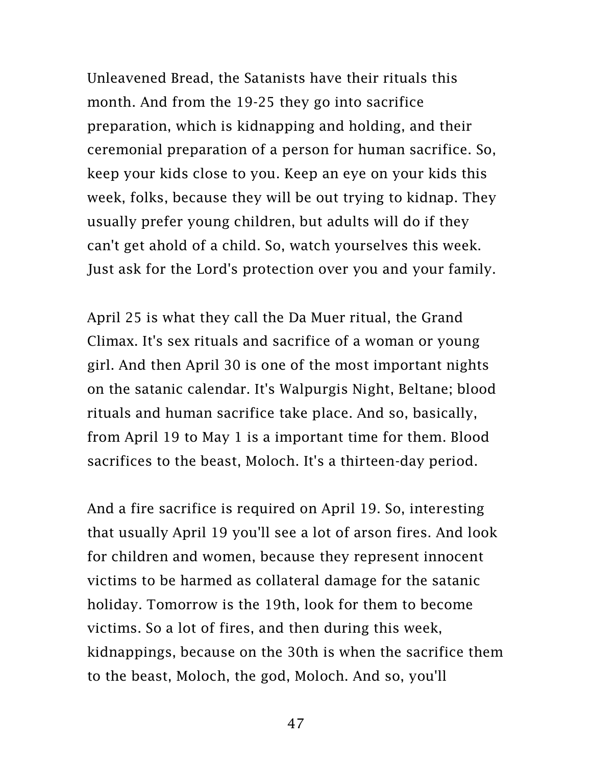Unleavened Bread, the Satanists have their rituals this month. And from the 19-25 they go into sacrifice preparation, which is kidnapping and holding, and their ceremonial preparation of a person for human sacrifice. So, keep your kids close to you. Keep an eye on your kids this week, folks, because they will be out trying to kidnap. They usually prefer young children, but adults will do if they can't get ahold of a child. So, watch yourselves this week. Just ask for the Lord's protection over you and your family.

April 25 is what they call the Da Muer ritual, the Grand Climax. It's sex rituals and sacrifice of a woman or young girl. And then April 30 is one of the most important nights on the satanic calendar. It's Walpurgis Night, Beltane; blood rituals and human sacrifice take place. And so, basically, from April 19 to May 1 is a important time for them. Blood sacrifices to the beast, Moloch. It's a thirteen-day period.

And a fire sacrifice is required on April 19. So, interesting that usually April 19 you'll see a lot of arson fires. And look for children and women, because they represent innocent victims to be harmed as collateral damage for the satanic holiday. Tomorrow is the 19th, look for them to become victims. So a lot of fires, and then during this week, kidnappings, because on the 30th is when the sacrifice them to the beast, Moloch, the god, Moloch. And so, you'll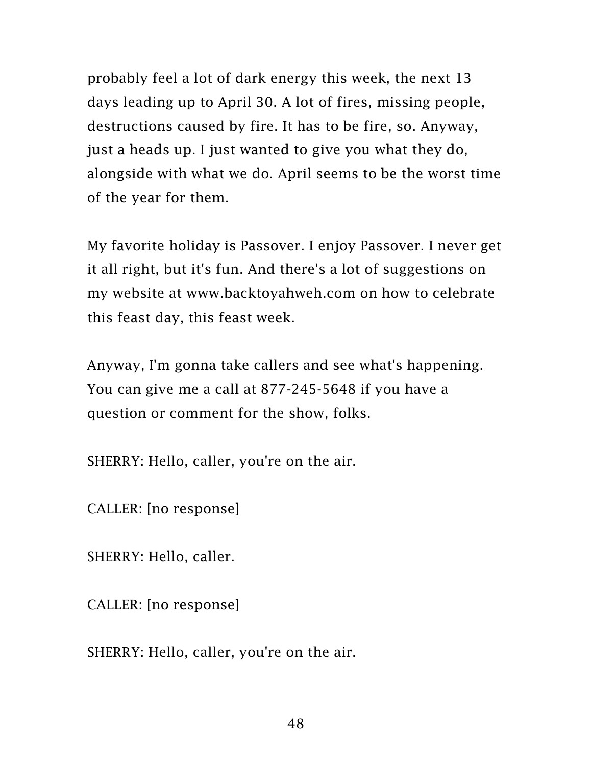probably feel a lot of dark energy this week, the next 13 days leading up to April 30. A lot of fires, missing people, destructions caused by fire. It has to be fire, so. Anyway, just a heads up. I just wanted to give you what they do, alongside with what we do. April seems to be the worst time of the year for them.

My favorite holiday is Passover. I enjoy Passover. I never get it all right, but it's fun. And there's a lot of suggestions on my website at [www.backtoyahweh.com](http://www.backtoyahweh.com/) on how to celebrate this feast day, this feast week.

Anyway, I'm gonna take callers and see what's happening. You can give me a call at 877-245-5648 if you have a question or comment for the show, folks.

SHERRY: Hello, caller, you're on the air.

CALLER: [no response]

SHERRY: Hello, caller.

CALLER: [no response]

SHERRY: Hello, caller, you're on the air.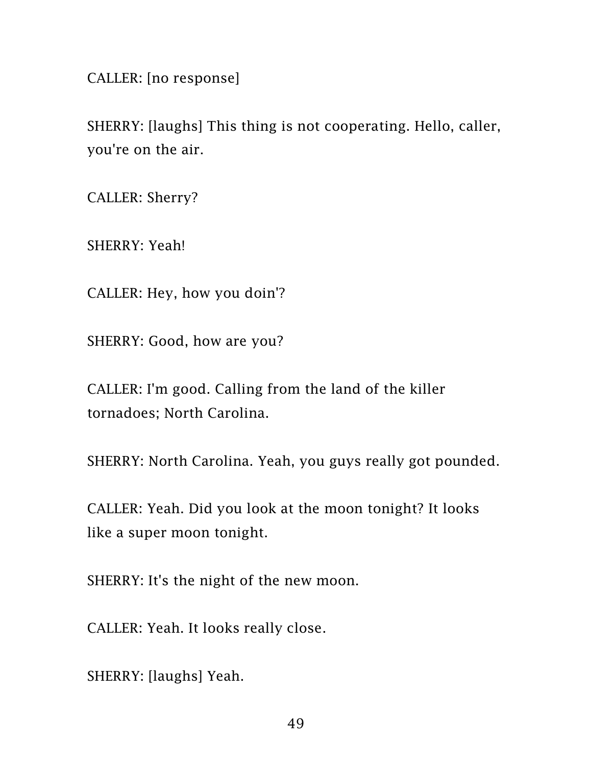CALLER: [no response]

SHERRY: [laughs] This thing is not cooperating. Hello, caller, you're on the air.

CALLER: Sherry?

SHERRY: Yeah!

CALLER: Hey, how you doin'?

SHERRY: Good, how are you?

CALLER: I'm good. Calling from the land of the killer tornadoes; North Carolina.

SHERRY: North Carolina. Yeah, you guys really got pounded.

CALLER: Yeah. Did you look at the moon tonight? It looks like a super moon tonight.

SHERRY: It's the night of the new moon.

CALLER: Yeah. It looks really close.

SHERRY: [laughs] Yeah.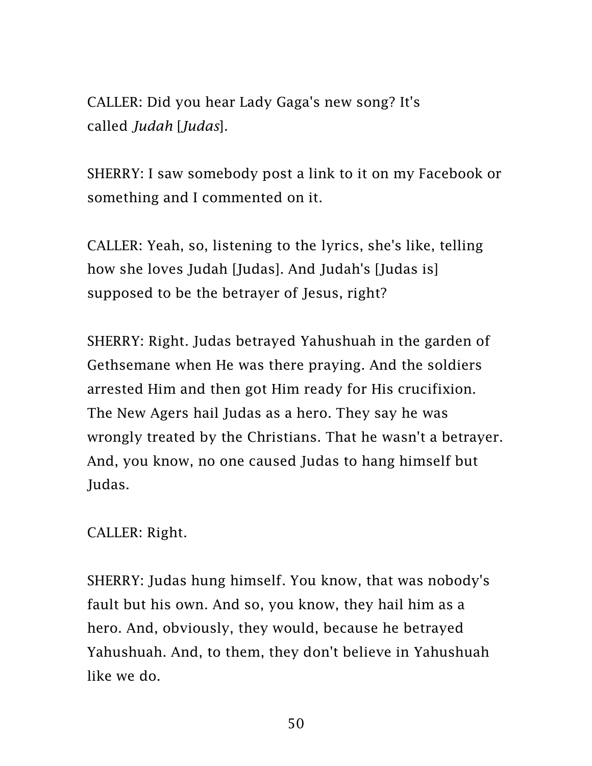CALLER: Did you hear Lady Gaga's new song? It's called *Judah* [*Judas*].

SHERRY: I saw somebody post a link to it on my Facebook or something and I commented on it.

CALLER: Yeah, so, listening to the lyrics, she's like, telling how she loves Judah [Judas]. And Judah's [Judas is] supposed to be the betrayer of Jesus, right?

SHERRY: Right. Judas betrayed Yahushuah in the garden of Gethsemane when He was there praying. And the soldiers arrested Him and then got Him ready for His crucifixion. The New Agers hail Judas as a hero. They say he was wrongly treated by the Christians. That he wasn't a betrayer. And, you know, no one caused Judas to hang himself but Judas.

CALLER: Right.

SHERRY: Judas hung himself. You know, that was nobody's fault but his own. And so, you know, they hail him as a hero. And, obviously, they would, because he betrayed Yahushuah. And, to them, they don't believe in Yahushuah like we do.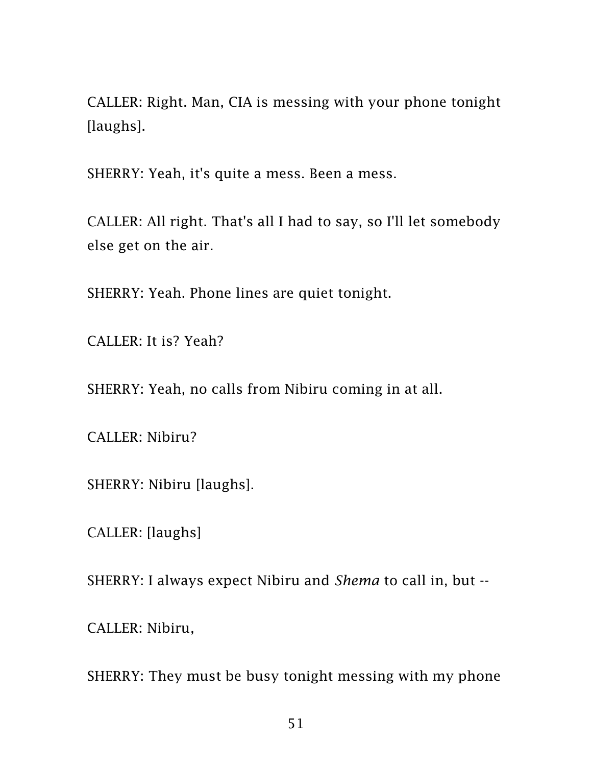CALLER: Right. Man, CIA is messing with your phone tonight [laughs].

SHERRY: Yeah, it's quite a mess. Been a mess.

CALLER: All right. That's all I had to say, so I'll let somebody else get on the air.

SHERRY: Yeah. Phone lines are quiet tonight.

CALLER: It is? Yeah?

SHERRY: Yeah, no calls from Nibiru coming in at all.

CALLER: Nibiru?

SHERRY: Nibiru [laughs].

CALLER: [laughs]

SHERRY: I always expect Nibiru and *Shema* to call in, but --

CALLER: Nibiru,

SHERRY: They must be busy tonight messing with my phone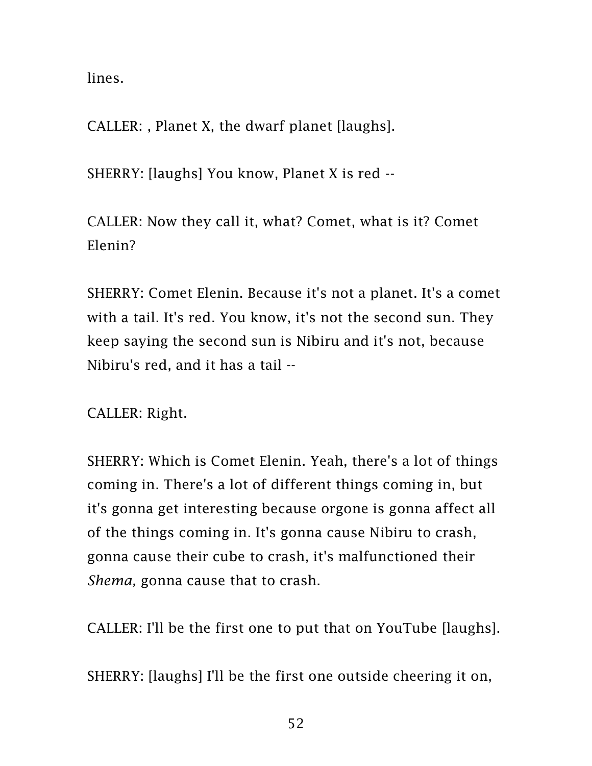lines.

CALLER: , Planet X, the dwarf planet [laughs].

SHERRY: [laughs] You know, Planet X is red --

CALLER: Now they call it, what? Comet, what is it? Comet Elenin?

SHERRY: Comet Elenin. Because it's not a planet. It's a comet with a tail. It's red. You know, it's not the second sun. They keep saying the second sun is Nibiru and it's not, because Nibiru's red, and it has a tail --

CALLER: Right.

SHERRY: Which is Comet Elenin. Yeah, there's a lot of things coming in. There's a lot of different things coming in, but it's gonna get interesting because orgone is gonna affect all of the things coming in. It's gonna cause Nibiru to crash, gonna cause their cube to crash, it's malfunctioned their *Shema,* gonna cause that to crash.

CALLER: I'll be the first one to put that on YouTube [laughs].

SHERRY: [laughs] I'll be the first one outside cheering it on,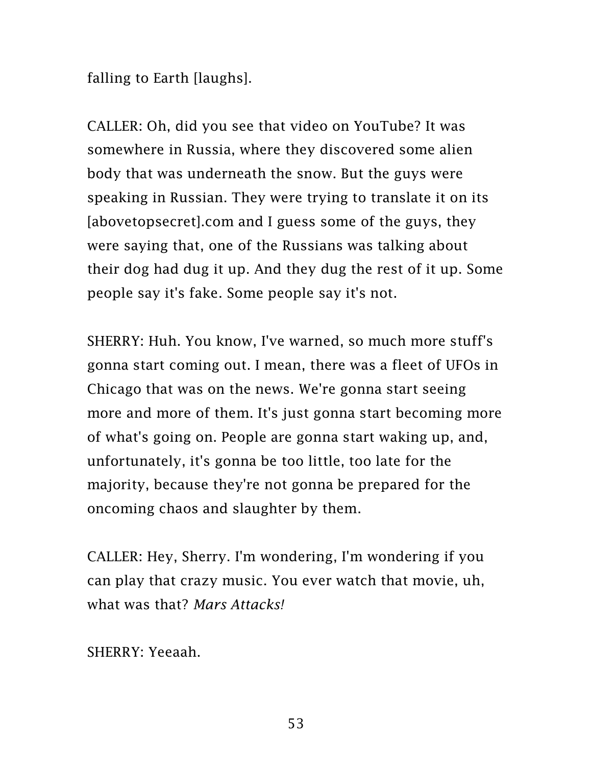falling to Earth [laughs].

CALLER: Oh, did you see that video on YouTube? It was somewhere in Russia, where they discovered some alien body that was underneath the snow. But the guys were speaking in Russian. They were trying to translate it on its [abovetopsecret].com and I guess some of the guys, they were saying that, one of the Russians was talking about their dog had dug it up. And they dug the rest of it up. Some people say it's fake. Some people say it's not.

SHERRY: Huh. You know, I've warned, so much more stuff's gonna start coming out. I mean, there was a fleet of UFOs in Chicago that was on the news. We're gonna start seeing more and more of them. It's just gonna start becoming more of what's going on. People are gonna start waking up, and, unfortunately, it's gonna be too little, too late for the majority, because they're not gonna be prepared for the oncoming chaos and slaughter by them.

CALLER: Hey, Sherry. I'm wondering, I'm wondering if you can play that crazy music. You ever watch that movie, uh, what was that? *Mars Attacks!*

SHERRY: Yeeaah.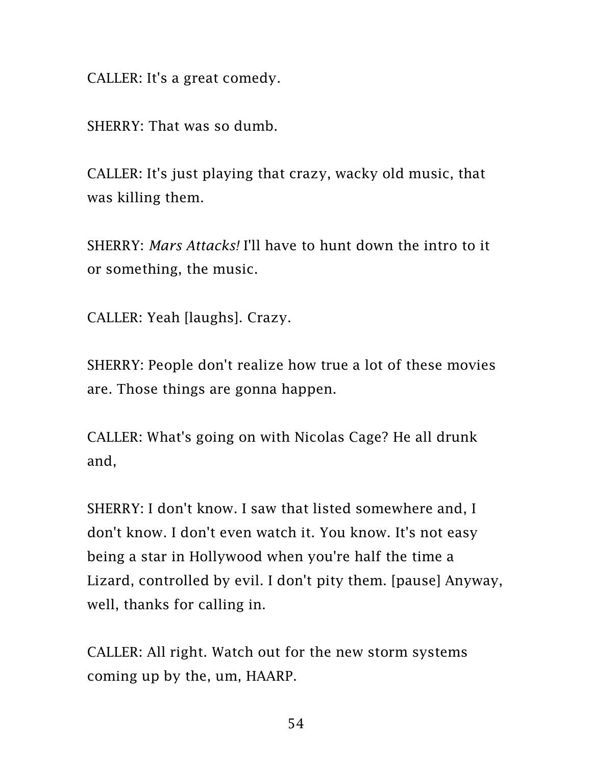CALLER: It's a great comedy.

SHERRY: That was so dumb.

CALLER: It's just playing that crazy, wacky old music, that was killing them.

SHERRY: *Mars Attacks!* I'll have to hunt down the intro to it or something, the music.

CALLER: Yeah [laughs]. Crazy.

SHERRY: People don't realize how true a lot of these movies are. Those things are gonna happen.

CALLER: What's going on with Nicolas Cage? He all drunk and,

SHERRY: I don't know. I saw that listed somewhere and, I don't know. I don't even watch it. You know. It's not easy being a star in Hollywood when you're half the time a Lizard, controlled by evil. I don't pity them. [pause] Anyway, well, thanks for calling in.

CALLER: All right. Watch out for the new storm systems coming up by the, um, HAARP.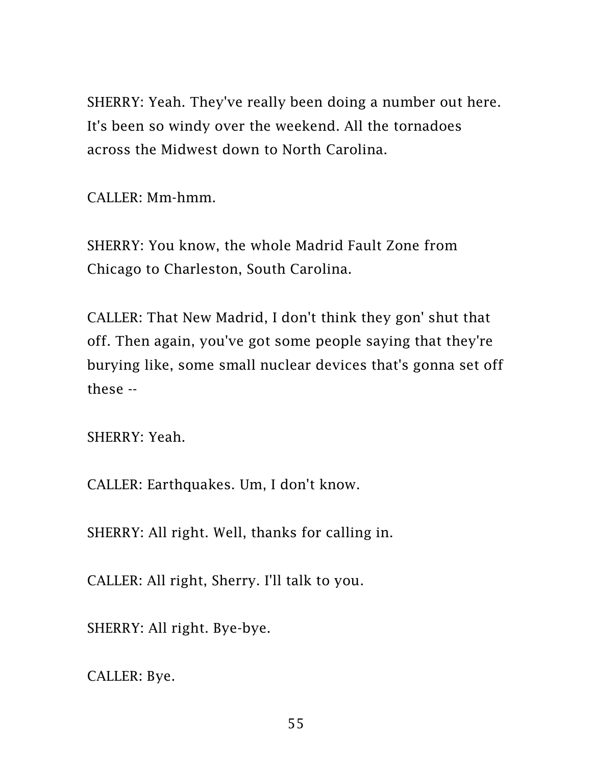SHERRY: Yeah. They've really been doing a number out here. It's been so windy over the weekend. All the tornadoes across the Midwest down to North Carolina.

CALLER: Mm-hmm.

SHERRY: You know, the whole Madrid Fault Zone from Chicago to Charleston, South Carolina.

CALLER: That New Madrid, I don't think they gon' shut that off. Then again, you've got some people saying that they're burying like, some small nuclear devices that's gonna set off these --

SHERRY: Yeah.

CALLER: Earthquakes. Um, I don't know.

SHERRY: All right. Well, thanks for calling in.

CALLER: All right, Sherry. I'll talk to you.

SHERRY: All right. Bye-bye.

CALLER: Bye.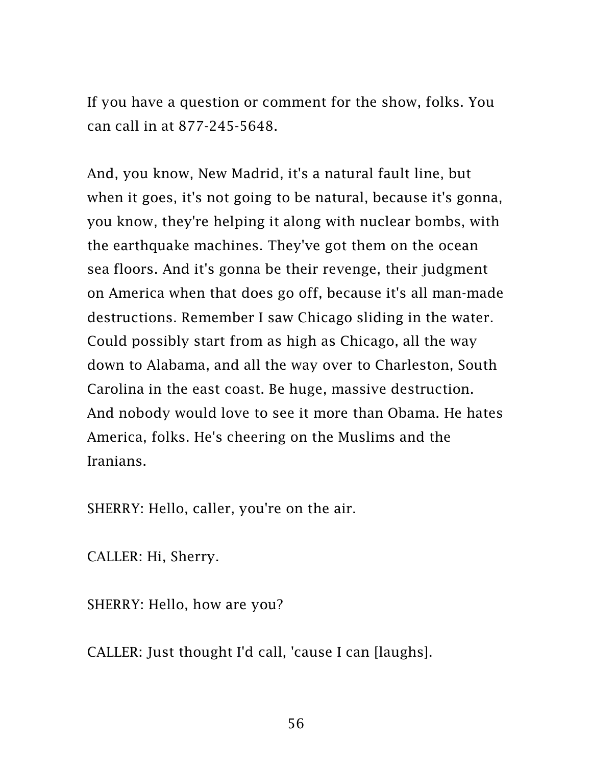If you have a question or comment for the show, folks. You can call in at 877-245-5648.

And, you know, New Madrid, it's a natural fault line, but when it goes, it's not going to be natural, because it's gonna, you know, they're helping it along with nuclear bombs, with the earthquake machines. They've got them on the ocean sea floors. And it's gonna be their revenge, their judgment on America when that does go off, because it's all man-made destructions. Remember I saw Chicago sliding in the water. Could possibly start from as high as Chicago, all the way down to Alabama, and all the way over to Charleston, South Carolina in the east coast. Be huge, massive destruction. And nobody would love to see it more than Obama. He hates America, folks. He's cheering on the Muslims and the Iranians.

SHERRY: Hello, caller, you're on the air.

CALLER: Hi, Sherry.

SHERRY: Hello, how are you?

CALLER: Just thought I'd call, 'cause I can [laughs].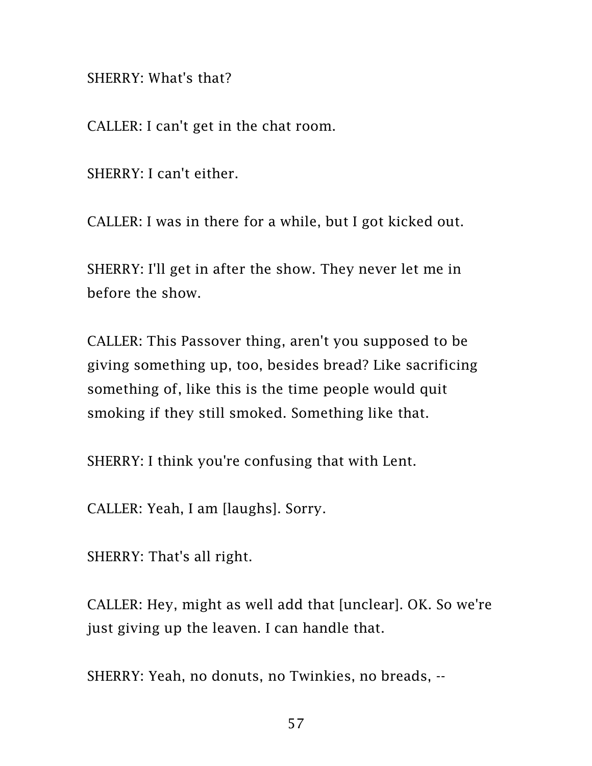SHERRY: What's that?

CALLER: I can't get in the chat room.

SHERRY: I can't either.

CALLER: I was in there for a while, but I got kicked out.

SHERRY: I'll get in after the show. They never let me in before the show.

CALLER: This Passover thing, aren't you supposed to be giving something up, too, besides bread? Like sacrificing something of, like this is the time people would quit smoking if they still smoked. Something like that.

SHERRY: I think you're confusing that with Lent.

CALLER: Yeah, I am [laughs]. Sorry.

SHERRY: That's all right.

CALLER: Hey, might as well add that [unclear]. OK. So we're just giving up the leaven. I can handle that.

SHERRY: Yeah, no donuts, no Twinkies, no breads, --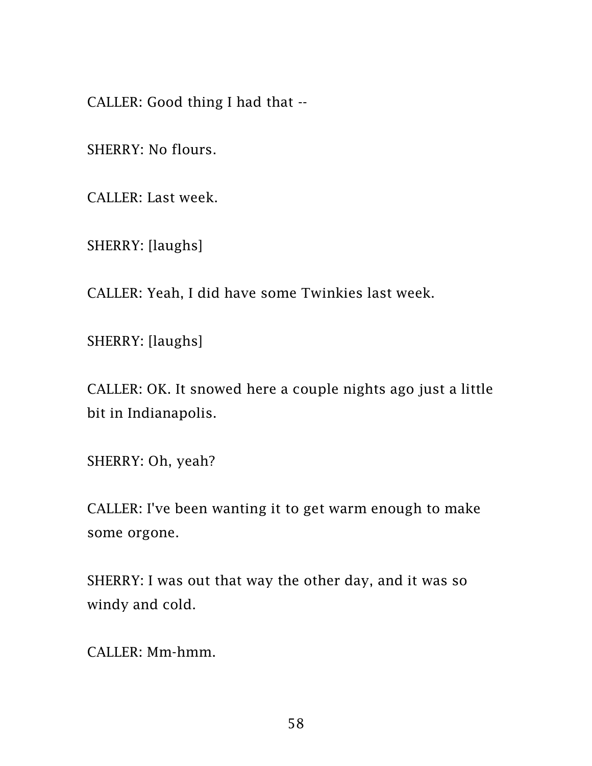CALLER: Good thing I had that --

SHERRY: No flours.

CALLER: Last week.

SHERRY: [laughs]

CALLER: Yeah, I did have some Twinkies last week.

SHERRY: [laughs]

CALLER: OK. It snowed here a couple nights ago just a little bit in Indianapolis.

SHERRY: Oh, yeah?

CALLER: I've been wanting it to get warm enough to make some orgone.

SHERRY: I was out that way the other day, and it was so windy and cold.

CALLER: Mm-hmm.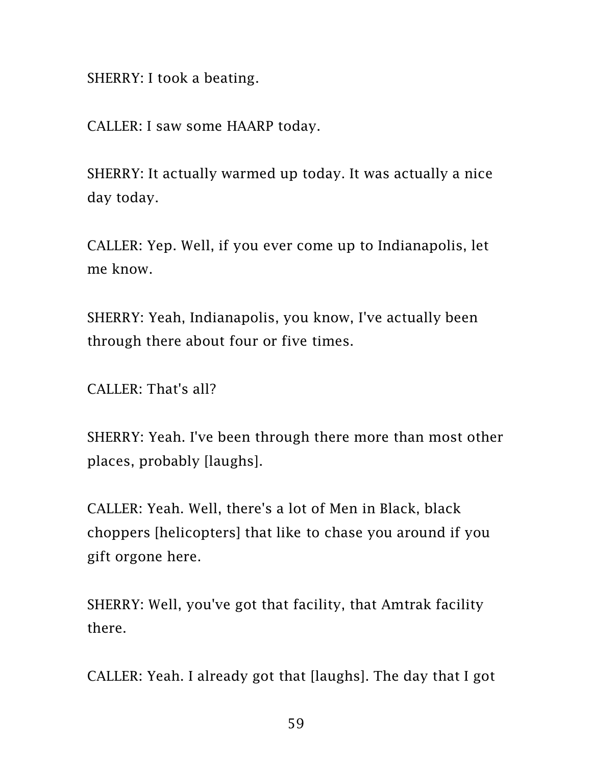SHERRY: I took a beating.

CALLER: I saw some HAARP today.

SHERRY: It actually warmed up today. It was actually a nice day today.

CALLER: Yep. Well, if you ever come up to Indianapolis, let me know.

SHERRY: Yeah, Indianapolis, you know, I've actually been through there about four or five times.

CALLER: That's all?

SHERRY: Yeah. I've been through there more than most other places, probably [laughs].

CALLER: Yeah. Well, there's a lot of Men in Black, black choppers [helicopters] that like to chase you around if you gift orgone here.

SHERRY: Well, you've got that facility, that Amtrak facility there.

CALLER: Yeah. I already got that [laughs]. The day that I got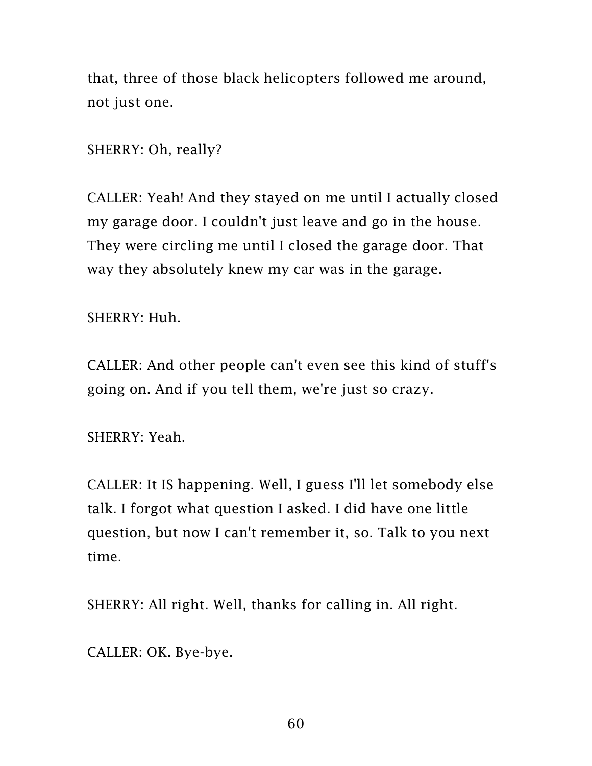that, three of those black helicopters followed me around, not just one.

SHERRY: Oh, really?

CALLER: Yeah! And they stayed on me until I actually closed my garage door. I couldn't just leave and go in the house. They were circling me until I closed the garage door. That way they absolutely knew my car was in the garage.

SHERRY: Huh.

CALLER: And other people can't even see this kind of stuff's going on. And if you tell them, we're just so crazy.

SHERRY: Yeah.

CALLER: It IS happening. Well, I guess I'll let somebody else talk. I forgot what question I asked. I did have one little question, but now I can't remember it, so. Talk to you next time.

SHERRY: All right. Well, thanks for calling in. All right.

CALLER: OK. Bye-bye.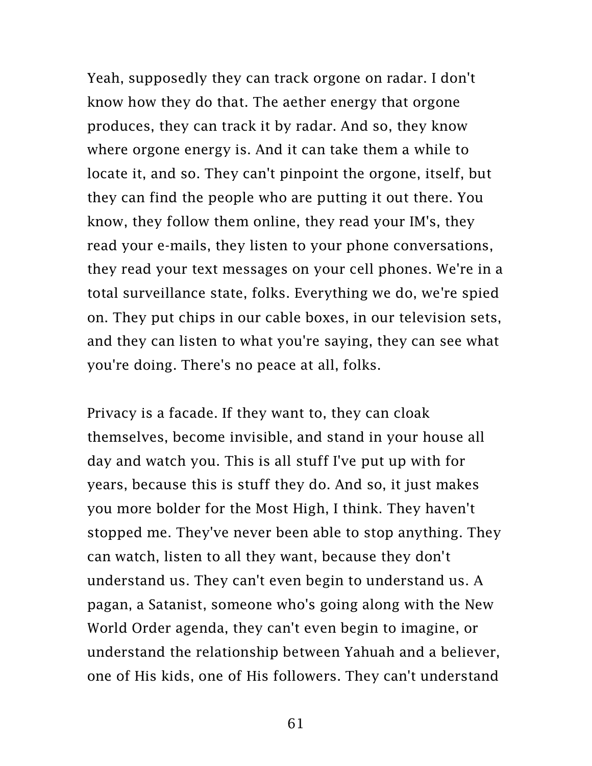Yeah, supposedly they can track orgone on radar. I don't know how they do that. The aether energy that orgone produces, they can track it by radar. And so, they know where orgone energy is. And it can take them a while to locate it, and so. They can't pinpoint the orgone, itself, but they can find the people who are putting it out there. You know, they follow them online, they read your IM's, they read your e-mails, they listen to your phone conversations, they read your text messages on your cell phones. We're in a total surveillance state, folks. Everything we do, we're spied on. They put chips in our cable boxes, in our television sets, and they can listen to what you're saying, they can see what you're doing. There's no peace at all, folks.

Privacy is a facade. If they want to, they can cloak themselves, become invisible, and stand in your house all day and watch you. This is all stuff I've put up with for years, because this is stuff they do. And so, it just makes you more bolder for the Most High, I think. They haven't stopped me. They've never been able to stop anything. They can watch, listen to all they want, because they don't understand us. They can't even begin to understand us. A pagan, a Satanist, someone who's going along with the New World Order agenda, they can't even begin to imagine, or understand the relationship between Yahuah and a believer, one of His kids, one of His followers. They can't understand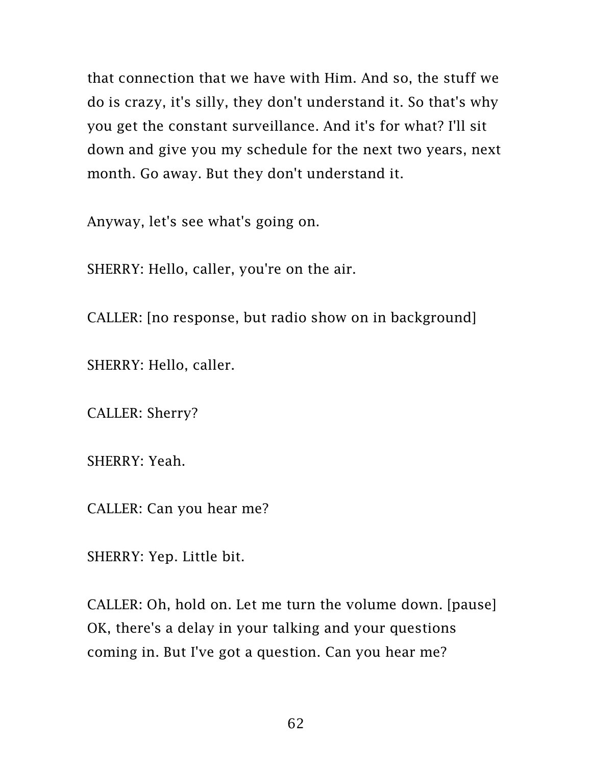that connection that we have with Him. And so, the stuff we do is crazy, it's silly, they don't understand it. So that's why you get the constant surveillance. And it's for what? I'll sit down and give you my schedule for the next two years, next month. Go away. But they don't understand it.

Anyway, let's see what's going on.

SHERRY: Hello, caller, you're on the air.

CALLER: [no response, but radio show on in background]

SHERRY: Hello, caller.

CALLER: Sherry?

SHERRY: Yeah.

CALLER: Can you hear me?

SHERRY: Yep. Little bit.

CALLER: Oh, hold on. Let me turn the volume down. [pause] OK, there's a delay in your talking and your questions coming in. But I've got a question. Can you hear me?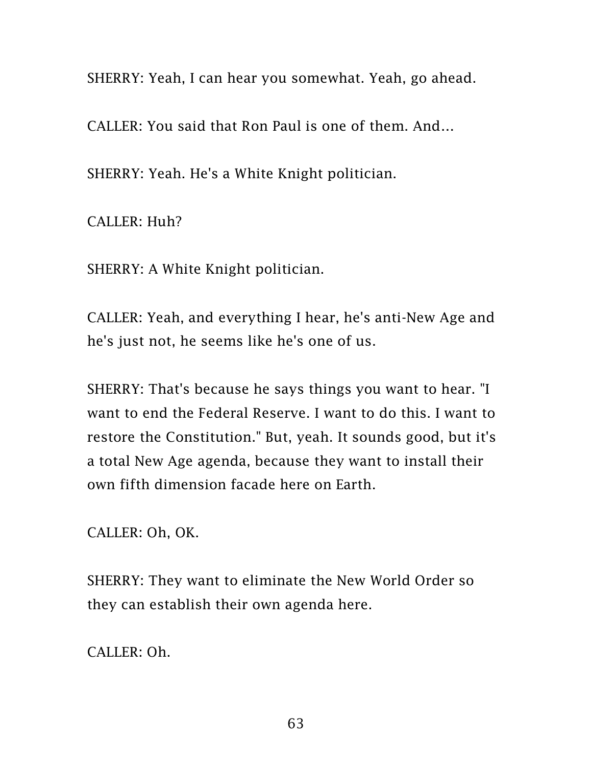SHERRY: Yeah, I can hear you somewhat. Yeah, go ahead.

CALLER: You said that Ron Paul is one of them. And…

SHERRY: Yeah. He's a White Knight politician.

CALLER: Huh?

SHERRY: A White Knight politician.

CALLER: Yeah, and everything I hear, he's anti-New Age and he's just not, he seems like he's one of us.

SHERRY: That's because he says things you want to hear. "I want to end the Federal Reserve. I want to do this. I want to restore the Constitution." But, yeah. It sounds good, but it's a total New Age agenda, because they want to install their own fifth dimension facade here on Earth.

CALLER: Oh, OK.

SHERRY: They want to eliminate the New World Order so they can establish their own agenda here.

CALLER: Oh.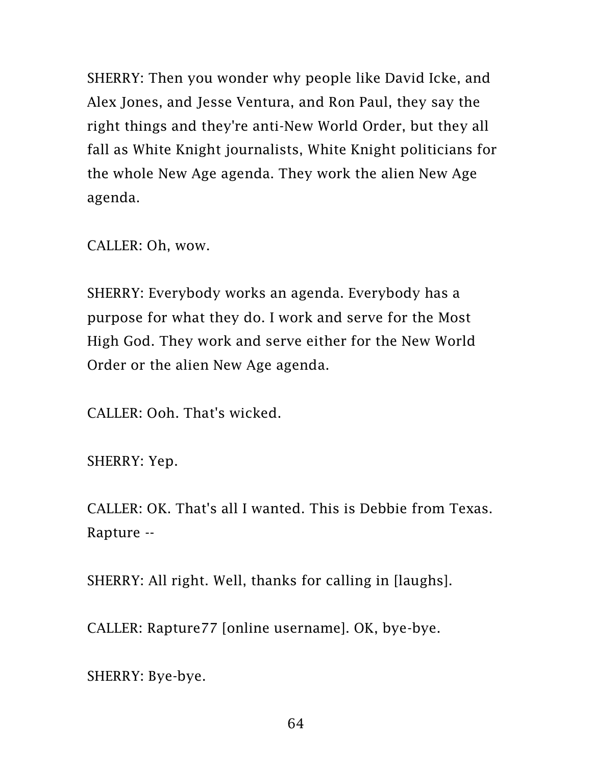SHERRY: Then you wonder why people like David Icke, and Alex Jones, and Jesse Ventura, and Ron Paul, they say the right things and they're anti-New World Order, but they all fall as White Knight journalists, White Knight politicians for the whole New Age agenda. They work the alien New Age agenda.

CALLER: Oh, wow.

SHERRY: Everybody works an agenda. Everybody has a purpose for what they do. I work and serve for the Most High God. They work and serve either for the New World Order or the alien New Age agenda.

CALLER: Ooh. That's wicked.

SHERRY: Yep.

CALLER: OK. That's all I wanted. This is Debbie from Texas. Rapture --

SHERRY: All right. Well, thanks for calling in [laughs].

CALLER: Rapture77 [online username]. OK, bye-bye.

SHERRY: Bye-bye.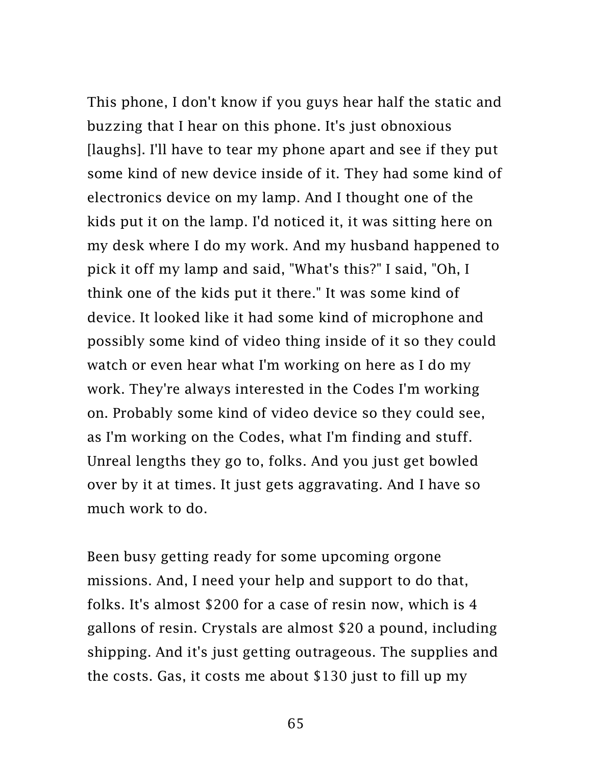This phone, I don't know if you guys hear half the static and buzzing that I hear on this phone. It's just obnoxious [laughs]. I'll have to tear my phone apart and see if they put some kind of new device inside of it. They had some kind of electronics device on my lamp. And I thought one of the kids put it on the lamp. I'd noticed it, it was sitting here on my desk where I do my work. And my husband happened to pick it off my lamp and said, "What's this?" I said, "Oh, I think one of the kids put it there." It was some kind of device. It looked like it had some kind of microphone and possibly some kind of video thing inside of it so they could watch or even hear what I'm working on here as I do my work. They're always interested in the Codes I'm working on. Probably some kind of video device so they could see, as I'm working on the Codes, what I'm finding and stuff. Unreal lengths they go to, folks. And you just get bowled over by it at times. It just gets aggravating. And I have so much work to do.

Been busy getting ready for some upcoming orgone missions. And, I need your help and support to do that, folks. It's almost \$200 for a case of resin now, which is 4 gallons of resin. Crystals are almost \$20 a pound, including shipping. And it's just getting outrageous. The supplies and the costs. Gas, it costs me about \$130 just to fill up my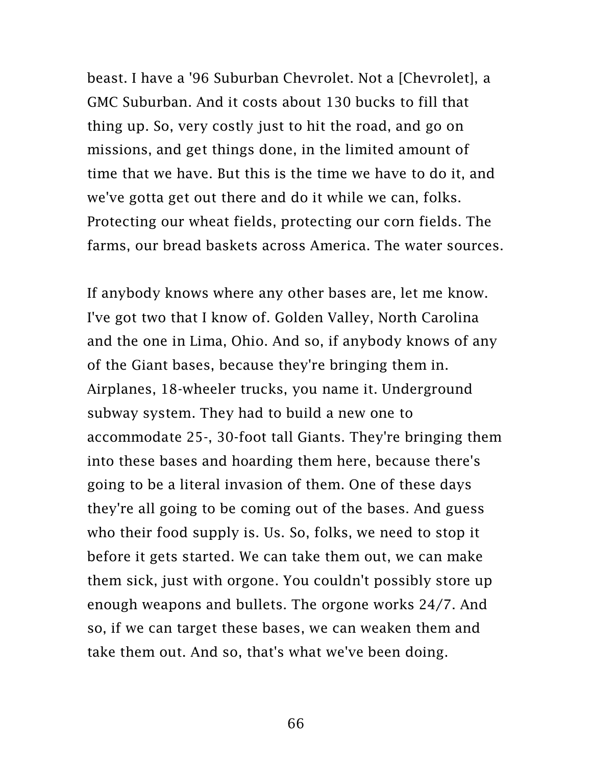beast. I have a '96 Suburban Chevrolet. Not a [Chevrolet], a GMC Suburban. And it costs about 130 bucks to fill that thing up. So, very costly just to hit the road, and go on missions, and get things done, in the limited amount of time that we have. But this is the time we have to do it, and we've gotta get out there and do it while we can, folks. Protecting our wheat fields, protecting our corn fields. The farms, our bread baskets across America. The water sources.

If anybody knows where any other bases are, let me know. I've got two that I know of. Golden Valley, North Carolina and the one in Lima, Ohio. And so, if anybody knows of any of the Giant bases, because they're bringing them in. Airplanes, 18-wheeler trucks, you name it. Underground subway system. They had to build a new one to accommodate 25-, 30-foot tall Giants. They're bringing them into these bases and hoarding them here, because there's going to be a literal invasion of them. One of these days they're all going to be coming out of the bases. And guess who their food supply is. Us. So, folks, we need to stop it before it gets started. We can take them out, we can make them sick, just with orgone. You couldn't possibly store up enough weapons and bullets. The orgone works 24/7. And so, if we can target these bases, we can weaken them and take them out. And so, that's what we've been doing.